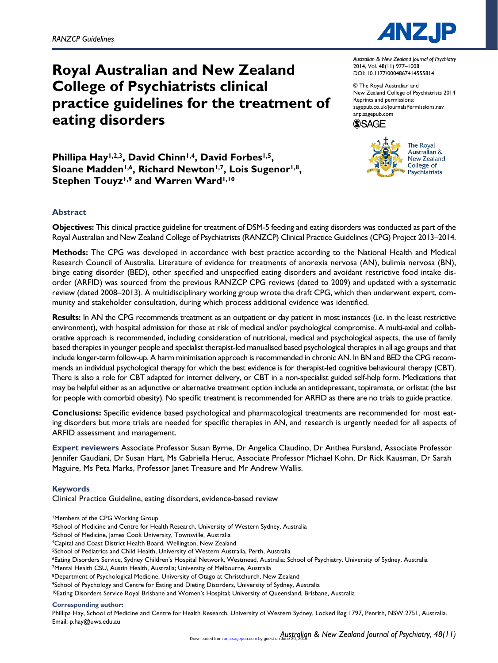

# **Royal Australian and New Zealand College of Psychiatrists clinical practice guidelines for the treatment of eating disorders**

*Australian & New Zealand Journal of Psychiatry* 2014, Vol. 48(11) 977–1008 DOI: 10.1177/0004867414555814

© The Royal Australian and New Zealand College of Psychiatrists 2014 Reprints and permissions: sagepub.co.uk/journalsPermissions.nav anp.sagepub.com



**The Royal** Australian & **New Zealand** College of Psychiatrists

Phillipa Hay<sup>1,2,3</sup>, David Chinn<sup>1,4</sup>, David Forbes<sup>1,5</sup>, Sloane Madden<sup>1,6</sup>, Richard Newton<sup>1,7</sup>, Lois Sugenor<sup>1,8</sup>, **Stephen Touyz<sup>1,9</sup> and Warren Ward<sup>1,10</sup>** 

# **Abstract**

**Objectives:** This clinical practice guideline for treatment of DSM-5 feeding and eating disorders was conducted as part of the Royal Australian and New Zealand College of Psychiatrists (RANZCP) Clinical Practice Guidelines (CPG) Project 2013–2014.

**Methods:** The CPG was developed in accordance with best practice according to the National Health and Medical Research Council of Australia. Literature of evidence for treatments of anorexia nervosa (AN), bulimia nervosa (BN), binge eating disorder (BED), other specified and unspecified eating disorders and avoidant restrictive food intake disorder (ARFID) was sourced from the previous RANZCP CPG reviews (dated to 2009) and updated with a systematic review (dated 2008–2013). A multidisciplinary working group wrote the draft CPG, which then underwent expert, community and stakeholder consultation, during which process additional evidence was identified.

**Results:** In AN the CPG recommends treatment as an outpatient or day patient in most instances (i.e. in the least restrictive environment), with hospital admission for those at risk of medical and/or psychological compromise. A multi-axial and collaborative approach is recommended, including consideration of nutritional, medical and psychological aspects, the use of family based therapies in younger people and specialist therapist-led manualised based psychological therapies in all age groups and that include longer-term follow-up. A harm minimisation approach is recommended in chronic AN. In BN and BED the CPG recommends an individual psychological therapy for which the best evidence is for therapist-led cognitive behavioural therapy (CBT). There is also a role for CBT adapted for internet delivery, or CBT in a non-specialist guided self-help form. Medications that may be helpful either as an adjunctive or alternative treatment option include an antidepressant, topiramate, or orlistat (the last for people with comorbid obesity). No specific treatment is recommended for ARFID as there are no trials to guide practice.

**Conclusions:** Specific evidence based psychological and pharmacological treatments are recommended for most eating disorders but more trials are needed for specific therapies in AN, and research is urgently needed for all aspects of ARFID assessment and management.

**Expert reviewers** Associate Professor Susan Byrne, Dr Angelica Claudino, Dr Anthea Fursland, Associate Professor Jennifer Gaudiani, Dr Susan Hart, Ms Gabriella Heruc, Associate Professor Michael Kohn, Dr Rick Kausman, Dr Sarah Maguire, Ms Peta Marks, Professor Janet Treasure and Mr Andrew Wallis.

# **Keywords**

Clinical Practice Guideline, eating disorders, evidence-based review

- 1Members of the CPG Working Group
- 2School of Medicine and Centre for Health Research, University of Western Sydney, Australia
- <sup>3</sup>School of Medicine, James Cook University, Townsville, Australia
- 4Capital and Coast District Health Board, Wellington, New Zealand
- <sup>5</sup>School of Pediatrics and Child Health, University of Western Australia, Perth, Australia
- 6Eating Disorders Service, Sydney Children's Hospital Network, Westmead, Australia; School of Psychiatry, University of Sydney, Australia
- 7Mental Health CSU, Austin Health, Australia; University of Melbourne, Australia
- 8Department of Psychological Medicine, University of Otago at Christchurch, New Zealand
- 9School of Psychology and Centre for Eating and Dieting Disorders, University of Sydney, Australia

<sup>10</sup>Eating Disorders Service Royal Brisbane and Women's Hospital; University of Queensland, Brisbane, Australia

**Corresponding author:**

Phillipa Hay, School of Medicine and Centre for Health Research, University of Western Sydney, Locked Bag 1797, Penrith, NSW 2751, Australia. Email: p.hay@uws.edu.au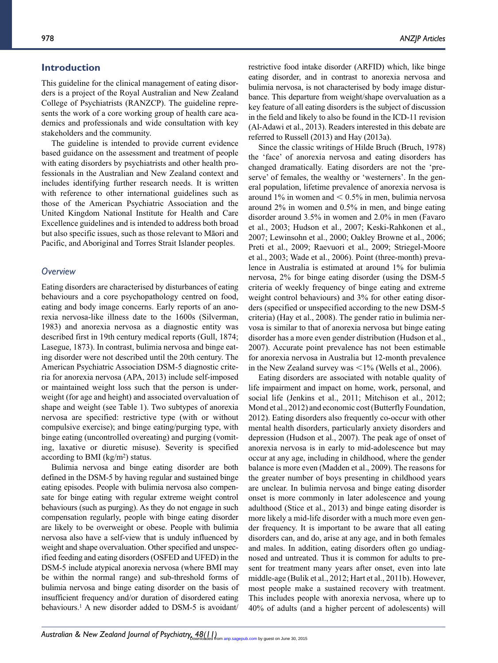# **Introduction**

This guideline for the clinical management of eating disorders is a project of the Royal Australian and New Zealand College of Psychiatrists (RANZCP). The guideline represents the work of a core working group of health care academics and professionals and wide consultation with key stakeholders and the community.

The guideline is intended to provide current evidence based guidance on the assessment and treatment of people with eating disorders by psychiatrists and other health professionals in the Australian and New Zealand context and includes identifying further research needs. It is written with reference to other international guidelines such as those of the American Psychiatric Association and the United Kingdom National Institute for Health and Care Excellence guidelines and is intended to address both broad but also specific issues, such as those relevant to Māori and Pacific, and Aboriginal and Torres Strait Islander peoples.

### *Overview*

Eating disorders are characterised by disturbances of eating behaviours and a core psychopathology centred on food, eating and body image concerns. Early reports of an anorexia nervosa-like illness date to the 1600s (Silverman, 1983) and anorexia nervosa as a diagnostic entity was described first in 19th century medical reports (Gull, 1874; Lasegue, 1873). In contrast, bulimia nervosa and binge eating disorder were not described until the 20th century. The American Psychiatric Association DSM-5 diagnostic criteria for anorexia nervosa (APA, 2013) include self-imposed or maintained weight loss such that the person is underweight (for age and height) and associated overvaluation of shape and weight (see Table 1). Two subtypes of anorexia nervosa are specified: restrictive type (with or without compulsive exercise); and binge eating/purging type, with binge eating (uncontrolled overeating) and purging (vomiting, laxative or diuretic misuse). Severity is specified according to BMI ( $\text{kg/m}^2$ ) status.

Bulimia nervosa and binge eating disorder are both defined in the DSM-5 by having regular and sustained binge eating episodes. People with bulimia nervosa also compensate for binge eating with regular extreme weight control behaviours (such as purging). As they do not engage in such compensation regularly, people with binge eating disorder are likely to be overweight or obese. People with bulimia nervosa also have a self-view that is unduly influenced by weight and shape overvaluation. Other specified and unspecified feeding and eating disorders (OSFED and UFED) in the DSM-5 include atypical anorexia nervosa (where BMI may be within the normal range) and sub-threshold forms of bulimia nervosa and binge eating disorder on the basis of insufficient frequency and/or duration of disordered eating behaviours.<sup>1</sup> A new disorder added to DSM-5 is avoidant/

restrictive food intake disorder (ARFID) which, like binge eating disorder, and in contrast to anorexia nervosa and bulimia nervosa, is not characterised by body image disturbance. This departure from weight/shape overvaluation as a key feature of all eating disorders is the subject of discussion in the field and likely to also be found in the ICD-11 revision (Al-Adawi et al., 2013). Readers interested in this debate are referred to Russell (2013) and Hay (2013a).

Since the classic writings of Hilde Bruch (Bruch, 1978) the 'face' of anorexia nervosa and eating disorders has changed dramatically. Eating disorders are not the 'preserve' of females, the wealthy or 'westerners'. In the general population, lifetime prevalence of anorexia nervosa is around  $1\%$  in women and  $< 0.5\%$  in men, bulimia nervosa around 2% in women and 0.5% in men, and binge eating disorder around 3.5% in women and 2.0% in men (Favaro et al., 2003; Hudson et al., 2007; Keski-Rahkonen et al., 2007; Lewinsohn et al., 2000; Oakley Browne et al., 2006; Preti et al., 2009; Raevuori et al., 2009; Striegel-Moore et al., 2003; Wade et al., 2006). Point (three-month) prevalence in Australia is estimated at around 1% for bulimia nervosa, 2% for binge eating disorder (using the DSM-5 criteria of weekly frequency of binge eating and extreme weight control behaviours) and 3% for other eating disorders (specified or unspecified according to the new DSM-5 criteria) (Hay et al., 2008). The gender ratio in bulimia nervosa is similar to that of anorexia nervosa but binge eating disorder has a more even gender distribution (Hudson et al., 2007). Accurate point prevalence has not been estimable for anorexia nervosa in Australia but 12-month prevalence in the New Zealand survey was  $\leq 1\%$  (Wells et al., 2006).

Eating disorders are associated with notable quality of life impairment and impact on home, work, personal, and social life (Jenkins et al., 2011; Mitchison et al., 2012; Mond et al., 2012) and economic cost (Butterfly Foundation, 2012). Eating disorders also frequently co-occur with other mental health disorders, particularly anxiety disorders and depression (Hudson et al., 2007). The peak age of onset of anorexia nervosa is in early to mid-adolescence but may occur at any age, including in childhood, where the gender balance is more even (Madden et al., 2009). The reasons for the greater number of boys presenting in childhood years are unclear. In bulimia nervosa and binge eating disorder onset is more commonly in later adolescence and young adulthood (Stice et al., 2013) and binge eating disorder is more likely a mid-life disorder with a much more even gender frequency. It is important to be aware that all eating disorders can, and do, arise at any age, and in both females and males. In addition, eating disorders often go undiagnosed and untreated. Thus it is common for adults to present for treatment many years after onset, even into late middle-age (Bulik et al., 2012; Hart et al., 2011b). However, most people make a sustained recovery with treatment. This includes people with anorexia nervosa, where up to 40% of adults (and a higher percent of adolescents) will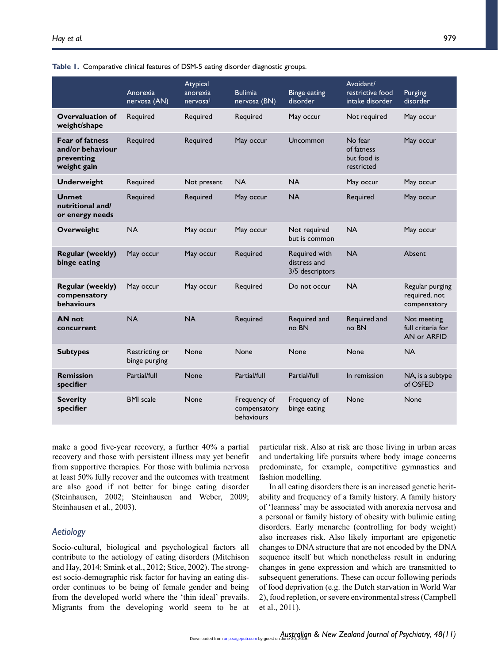|                                                                         | Anorexia<br>nervosa (AN)        | Atypical<br>anorexia<br>nervosal | <b>Bulimia</b><br>nervosa (BN)             | <b>Binge eating</b><br>disorder                  | Avoidant/<br>restrictive food<br>intake disorder   | Purging<br>disorder                              |
|-------------------------------------------------------------------------|---------------------------------|----------------------------------|--------------------------------------------|--------------------------------------------------|----------------------------------------------------|--------------------------------------------------|
| <b>Overvaluation of</b><br>weight/shape                                 | Required                        | Required                         | Required                                   | May occur                                        | Not required                                       | May occur                                        |
| <b>Fear of fatness</b><br>and/or behaviour<br>preventing<br>weight gain | Required                        | Required                         | May occur                                  | Uncommon                                         | No fear<br>of fatness<br>but food is<br>restricted | May occur                                        |
| Underweight                                                             | Required                        | Not present                      | <b>NA</b>                                  | <b>NA</b>                                        | May occur                                          | May occur                                        |
| <b>Unmet</b><br>nutritional and/<br>or energy needs                     | Required                        | Required                         | May occur                                  | <b>NA</b>                                        | Required                                           | May occur                                        |
| Overweight                                                              | <b>NA</b>                       | May occur                        | May occur                                  | Not required<br>but is common                    | <b>NA</b>                                          | May occur                                        |
| <b>Regular (weekly)</b><br>binge eating                                 | May occur                       | May occur                        | Required                                   | Required with<br>distress and<br>3/5 descriptors | <b>NA</b>                                          | Absent                                           |
| <b>Regular (weekly)</b><br>compensatory<br><b>behaviours</b>            | May occur                       | May occur                        | Required                                   | Do not occur                                     | <b>NA</b>                                          | Regular purging<br>required, not<br>compensatory |
| <b>AN</b> not<br>concurrent                                             | <b>NA</b>                       | <b>NA</b>                        | Required                                   | Required and<br>no BN                            | Required and<br>no BN                              | Not meeting<br>full criteria for<br>AN or ARFID  |
| <b>Subtypes</b>                                                         | Restricting or<br>binge purging | None                             | None                                       | None                                             | None                                               | <b>NA</b>                                        |
| <b>Remission</b><br>specifier                                           | Partial/full                    | None                             | Partial/full                               | Partial/full                                     | In remission                                       | NA, is a subtype<br>of OSFED                     |
| <b>Severity</b><br>specifier                                            | <b>BMI</b> scale                | None                             | Frequency of<br>compensatory<br>behaviours | Frequency of<br>binge eating                     | None                                               | None                                             |

**Table 1.** Comparative clinical features of DSM-5 eating disorder diagnostic groups.

make a good five-year recovery, a further 40% a partial recovery and those with persistent illness may yet benefit from supportive therapies. For those with bulimia nervosa at least 50% fully recover and the outcomes with treatment are also good if not better for binge eating disorder (Steinhausen, 2002; Steinhausen and Weber, 2009; Steinhausen et al., 2003).

### *Aetiology*

Socio-cultural, biological and psychological factors all contribute to the aetiology of eating disorders (Mitchison and Hay, 2014; Smink et al., 2012; Stice, 2002). The strongest socio-demographic risk factor for having an eating disorder continues to be being of female gender and being from the developed world where the 'thin ideal' prevails. Migrants from the developing world seem to be at particular risk. Also at risk are those living in urban areas and undertaking life pursuits where body image concerns predominate, for example, competitive gymnastics and fashion modelling.

In all eating disorders there is an increased genetic heritability and frequency of a family history. A family history of 'leanness' may be associated with anorexia nervosa and a personal or family history of obesity with bulimic eating disorders. Early menarche (controlling for body weight) also increases risk. Also likely important are epigenetic changes to DNA structure that are not encoded by the DNA sequence itself but which nonetheless result in enduring changes in gene expression and which are transmitted to subsequent generations. These can occur following periods of food deprivation (e.g. the Dutch starvation in World War 2), food repletion, or severe environmental stress (Campbell et al., 2011).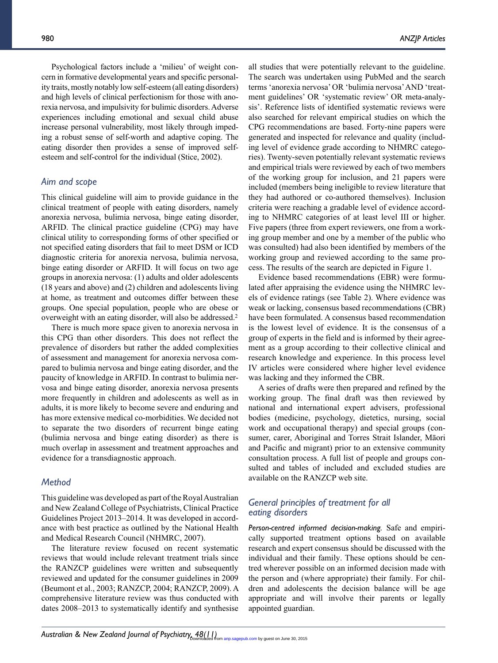Psychological factors include a 'milieu' of weight concern in formative developmental years and specific personality traits, mostly notably low self-esteem (all eating disorders) and high levels of clinical perfectionism for those with anorexia nervosa, and impulsivity for bulimic disorders. Adverse experiences including emotional and sexual child abuse increase personal vulnerability, most likely through impeding a robust sense of self-worth and adaptive coping. The eating disorder then provides a sense of improved selfesteem and self-control for the individual (Stice, 2002).

### *Aim and scope*

This clinical guideline will aim to provide guidance in the clinical treatment of people with eating disorders, namely anorexia nervosa, bulimia nervosa, binge eating disorder, ARFID. The clinical practice guideline (CPG) may have clinical utility to corresponding forms of other specified or not specified eating disorders that fail to meet DSM or ICD diagnostic criteria for anorexia nervosa, bulimia nervosa, binge eating disorder or ARFID. It will focus on two age groups in anorexia nervosa: (1) adults and older adolescents (18 years and above) and (2) children and adolescents living at home, as treatment and outcomes differ between these groups. One special population, people who are obese or overweight with an eating disorder, will also be addressed.2

There is much more space given to anorexia nervosa in this CPG than other disorders. This does not reflect the prevalence of disorders but rather the added complexities of assessment and management for anorexia nervosa compared to bulimia nervosa and binge eating disorder, and the paucity of knowledge in ARFID. In contrast to bulimia nervosa and binge eating disorder, anorexia nervosa presents more frequently in children and adolescents as well as in adults, it is more likely to become severe and enduring and has more extensive medical co-morbidities. We decided not to separate the two disorders of recurrent binge eating (bulimia nervosa and binge eating disorder) as there is much overlap in assessment and treatment approaches and evidence for a transdiagnostic approach.

### *Method*

This guideline was developed as part of the Royal Australian and New Zealand College of Psychiatrists, Clinical Practice Guidelines Project 2013–2014. It was developed in accordance with best practice as outlined by the National Health and Medical Research Council (NHMRC, 2007).

The literature review focused on recent systematic reviews that would include relevant treatment trials since the RANZCP guidelines were written and subsequently reviewed and updated for the consumer guidelines in 2009 (Beumont et al., 2003; RANZCP, 2004; RANZCP, 2009). A comprehensive literature review was thus conducted with dates 2008–2013 to systematically identify and synthesise

all studies that were potentially relevant to the guideline. The search was undertaken using PubMed and the search terms 'anorexia nervosa' OR 'bulimia nervosa' AND 'treatment guidelines' OR 'systematic review' OR meta-analysis'. Reference lists of identified systematic reviews were also searched for relevant empirical studies on which the CPG recommendations are based. Forty-nine papers were generated and inspected for relevance and quality (including level of evidence grade according to NHMRC categories). Twenty-seven potentially relevant systematic reviews and empirical trials were reviewed by each of two members of the working group for inclusion, and 21 papers were included (members being ineligible to review literature that they had authored or co-authored themselves). Inclusion criteria were reaching a gradable level of evidence according to NHMRC categories of at least level III or higher. Five papers (three from expert reviewers, one from a working group member and one by a member of the public who was consulted) had also been identified by members of the working group and reviewed according to the same process. The results of the search are depicted in Figure 1.

Evidence based recommendations (EBR) were formulated after appraising the evidence using the NHMRC levels of evidence ratings (see Table 2). Where evidence was weak or lacking, consensus based recommendations (CBR) have been formulated. A consensus based recommendation is the lowest level of evidence. It is the consensus of a group of experts in the field and is informed by their agreement as a group according to their collective clinical and research knowledge and experience. In this process level IV articles were considered where higher level evidence was lacking and they informed the CBR.

A series of drafts were then prepared and refined by the working group. The final draft was then reviewed by national and international expert advisers, professional bodies (medicine, psychology, dietetics, nursing, social work and occupational therapy) and special groups (consumer, carer, Aboriginal and Torres Strait Islander, Māori and Pacific and migrant) prior to an extensive community consultation process. A full list of people and groups consulted and tables of included and excluded studies are available on the RANZCP web site.

# *General principles of treatment for all eating disorders*

*Person-centred informed decision-making.* Safe and empirically supported treatment options based on available research and expert consensus should be discussed with the individual and their family. These options should be centred wherever possible on an informed decision made with the person and (where appropriate) their family. For children and adolescents the decision balance will be age appropriate and will involve their parents or legally appointed guardian.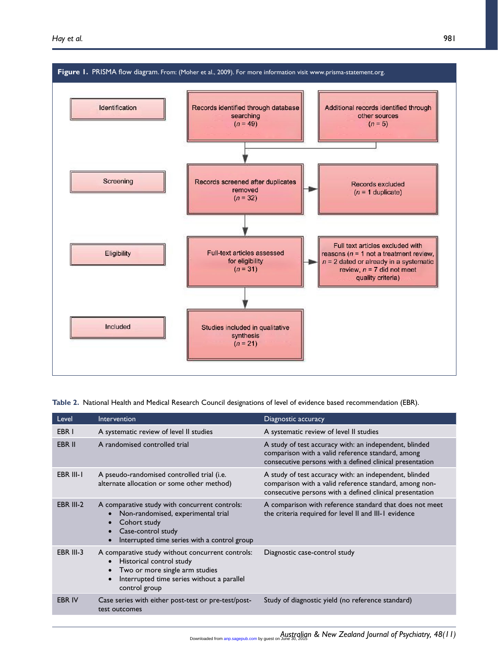

**Table 2.** National Health and Medical Research Council designations of level of evidence based recommendation (EBR).

| Level            | Intervention                                                                                                                                                                                            | Diagnostic accuracy                                                                                                                                                          |
|------------------|---------------------------------------------------------------------------------------------------------------------------------------------------------------------------------------------------------|------------------------------------------------------------------------------------------------------------------------------------------------------------------------------|
| EBR I            | A systematic review of level II studies                                                                                                                                                                 | A systematic review of level II studies                                                                                                                                      |
| EBR II           | A randomised controlled trial                                                                                                                                                                           | A study of test accuracy with: an independent, blinded<br>comparison with a valid reference standard, among<br>consecutive persons with a defined clinical presentation      |
| EBR III-I        | A pseudo-randomised controlled trial (i.e.<br>alternate allocation or some other method)                                                                                                                | A study of test accuracy with: an independent, blinded<br>comparison with a valid reference standard, among non-<br>consecutive persons with a defined clinical presentation |
| <b>EBR III-2</b> | A comparative study with concurrent controls:<br>Non-randomised, experimental trial<br>Cohort study<br>Case-control study<br>Interrupted time series with a control group                               | A comparison with reference standard that does not meet<br>the criteria required for level II and III-1 evidence                                                             |
| <b>EBR III-3</b> | A comparative study without concurrent controls:<br>Historical control study<br>Two or more single arm studies<br>$\bullet$<br>Interrupted time series without a parallel<br>$\bullet$<br>control group | Diagnostic case-control study                                                                                                                                                |
| EBR IV           | Case series with either post-test or pre-test/post-<br>test outcomes                                                                                                                                    | Study of diagnostic yield (no reference standard)                                                                                                                            |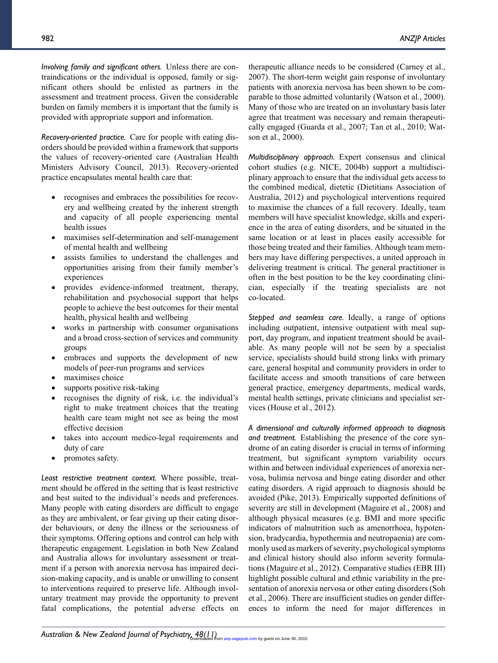*Involving family and significant others.* Unless there are contraindications or the individual is opposed, family or significant others should be enlisted as partners in the assessment and treatment process. Given the considerable burden on family members it is important that the family is provided with appropriate support and information.

*Recovery-oriented practice.* Care for people with eating disorders should be provided within a framework that supports the values of recovery-oriented care (Australian Health Ministers Advisory Council, 2013). Recovery-oriented practice encapsulates mental health care that:

- recognises and embraces the possibilities for recovery and wellbeing created by the inherent strength and capacity of all people experiencing mental health issues
- maximises self-determination and self-management of mental health and wellbeing
- assists families to understand the challenges and opportunities arising from their family member's experiences
- provides evidence-informed treatment, therapy, rehabilitation and psychosocial support that helps people to achieve the best outcomes for their mental health, physical health and wellbeing
- works in partnership with consumer organisations and a broad cross-section of services and community groups
- embraces and supports the development of new models of peer-run programs and services
- maximises choice
- supports positive risk-taking
- recognises the dignity of risk, i.e. the individual's right to make treatment choices that the treating health care team might not see as being the most effective decision
- takes into account medico-legal requirements and duty of care
- promotes safety.

*Least restrictive treatment context.* Where possible, treatment should be offered in the setting that is least restrictive and best suited to the individual's needs and preferences. Many people with eating disorders are difficult to engage as they are ambivalent, or fear giving up their eating disorder behaviours, or deny the illness or the seriousness of their symptoms. Offering options and control can help with therapeutic engagement. Legislation in both New Zealand and Australia allows for involuntary assessment or treatment if a person with anorexia nervosa has impaired decision-making capacity, and is unable or unwilling to consent to interventions required to preserve life. Although involuntary treatment may provide the opportunity to prevent fatal complications, the potential adverse effects on

therapeutic alliance needs to be considered (Carney et al., 2007). The short-term weight gain response of involuntary patients with anorexia nervosa has been shown to be comparable to those admitted voluntarily (Watson et al., 2000). Many of those who are treated on an involuntary basis later agree that treatment was necessary and remain therapeutically engaged (Guarda et al., 2007; Tan et al., 2010; Watson et al., 2000).

*Multidisciplinary approach.* Expert consensus and clinical cohort studies (e.g. NICE, 2004b) support a multidisciplinary approach to ensure that the individual gets access to the combined medical, dietetic (Dietitians Association of Australia, 2012) and psychological interventions required to maximise the chances of a full recovery. Ideally, team members will have specialist knowledge, skills and experience in the area of eating disorders, and be situated in the same location or at least in places easily accessible for those being treated and their families. Although team members may have differing perspectives, a united approach in delivering treatment is critical. The general practitioner is often in the best position to be the key coordinating clinician, especially if the treating specialists are not co-located.

*Stepped and seamless care.* Ideally, a range of options including outpatient, intensive outpatient with meal support, day program, and inpatient treatment should be available. As many people will not be seen by a specialist service, specialists should build strong links with primary care, general hospital and community providers in order to facilitate access and smooth transitions of care between general practice, emergency departments, medical wards, mental health settings, private clinicians and specialist services (House et al., 2012).

*A dimensional and culturally informed approach to diagnosis and treatment.* Establishing the presence of the core syndrome of an eating disorder is crucial in terms of informing treatment, but significant symptom variability occurs within and between individual experiences of anorexia nervosa, bulimia nervosa and binge eating disorder and other eating disorders. A rigid approach to diagnosis should be avoided (Pike, 2013). Empirically supported definitions of severity are still in development (Maguire et al., 2008) and although physical measures (e.g. BMI and more specific indicators of malnutrition such as amenorrhoea, hypotension, bradycardia, hypothermia and neutropaenia) are commonly used as markers of severity, psychological symptoms and clinical history should also inform severity formulations (Maguire et al., 2012). Comparative studies (EBR III) highlight possible cultural and ethnic variability in the presentation of anorexia nervosa or other eating disorders (Soh et al., 2006). There are insufficient studies on gender differences to inform the need for major differences in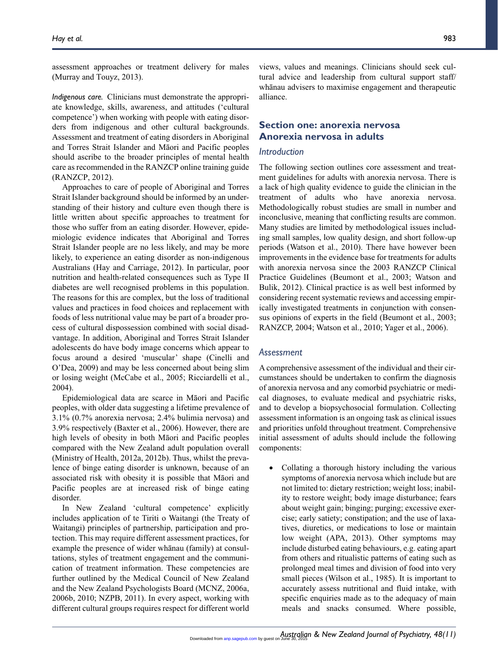assessment approaches or treatment delivery for males (Murray and Touyz, 2013).

*Indigenous care.* Clinicians must demonstrate the appropriate knowledge, skills, awareness, and attitudes ('cultural competence') when working with people with eating disorders from indigenous and other cultural backgrounds. Assessment and treatment of eating disorders in Aboriginal and Torres Strait Islander and Māori and Pacific peoples should ascribe to the broader principles of mental health care as recommended in the RANZCP online training guide (RANZCP, 2012).

Approaches to care of people of Aboriginal and Torres Strait Islander background should be informed by an understanding of their history and culture even though there is little written about specific approaches to treatment for those who suffer from an eating disorder. However, epidemiologic evidence indicates that Aboriginal and Torres Strait Islander people are no less likely, and may be more likely, to experience an eating disorder as non-indigenous Australians (Hay and Carriage, 2012). In particular, poor nutrition and health-related consequences such as Type II diabetes are well recognised problems in this population. The reasons for this are complex, but the loss of traditional values and practices in food choices and replacement with foods of less nutritional value may be part of a broader process of cultural dispossession combined with social disadvantage. In addition, Aboriginal and Torres Strait Islander adolescents do have body image concerns which appear to focus around a desired 'muscular' shape (Cinelli and O'Dea, 2009) and may be less concerned about being slim or losing weight (McCabe et al., 2005; Ricciardelli et al., 2004).

Epidemiological data are scarce in Māori and Pacific peoples, with older data suggesting a lifetime prevalence of 3.1% (0.7% anorexia nervosa; 2.4% bulimia nervosa) and 3.9% respectively (Baxter et al., 2006). However, there are high levels of obesity in both Māori and Pacific peoples compared with the New Zealand adult population overall (Ministry of Health, 2012a, 2012b). Thus, whilst the prevalence of binge eating disorder is unknown, because of an associated risk with obesity it is possible that Māori and Pacific peoples are at increased risk of binge eating disorder.

In New Zealand 'cultural competence' explicitly includes application of te Tiriti o Waitangi (the Treaty of Waitangi) principles of partnership, participation and protection. This may require different assessment practices, for example the presence of wider whānau (family) at consultations, styles of treatment engagement and the communication of treatment information. These competencies are further outlined by the Medical Council of New Zealand and the New Zealand Psychologists Board (MCNZ, 2006a, 2006b, 2010; NZPB, 2011). In every aspect, working with different cultural groups requires respect for different world

views, values and meanings. Clinicians should seek cultural advice and leadership from cultural support staff/ whānau advisers to maximise engagement and therapeutic alliance.

# **Section one: anorexia nervosa Anorexia nervosa in adults**

### *Introduction*

The following section outlines core assessment and treatment guidelines for adults with anorexia nervosa. There is a lack of high quality evidence to guide the clinician in the treatment of adults who have anorexia nervosa. Methodologically robust studies are small in number and inconclusive, meaning that conflicting results are common. Many studies are limited by methodological issues including small samples, low quality design, and short follow-up periods (Watson et al., 2010). There have however been improvements in the evidence base for treatments for adults with anorexia nervosa since the 2003 RANZCP Clinical Practice Guidelines (Beumont et al., 2003; Watson and Bulik, 2012). Clinical practice is as well best informed by considering recent systematic reviews and accessing empirically investigated treatments in conjunction with consensus opinions of experts in the field (Beumont et al., 2003; RANZCP, 2004; Watson et al., 2010; Yager et al., 2006).

# *Assessment*

A comprehensive assessment of the individual and their circumstances should be undertaken to confirm the diagnosis of anorexia nervosa and any comorbid psychiatric or medical diagnoses, to evaluate medical and psychiatric risks, and to develop a biopsychosocial formulation. Collecting assessment information is an ongoing task as clinical issues and priorities unfold throughout treatment. Comprehensive initial assessment of adults should include the following components:

• Collating a thorough history including the various symptoms of anorexia nervosa which include but are not limited to: dietary restriction; weight loss; inability to restore weight; body image disturbance; fears about weight gain; binging; purging; excessive exercise; early satiety; constipation; and the use of laxatives, diuretics, or medications to lose or maintain low weight (APA, 2013). Other symptoms may include disturbed eating behaviours, e.g. eating apart from others and ritualistic patterns of eating such as prolonged meal times and division of food into very small pieces (Wilson et al., 1985). It is important to accurately assess nutritional and fluid intake, with specific enquiries made as to the adequacy of main meals and snacks consumed. Where possible,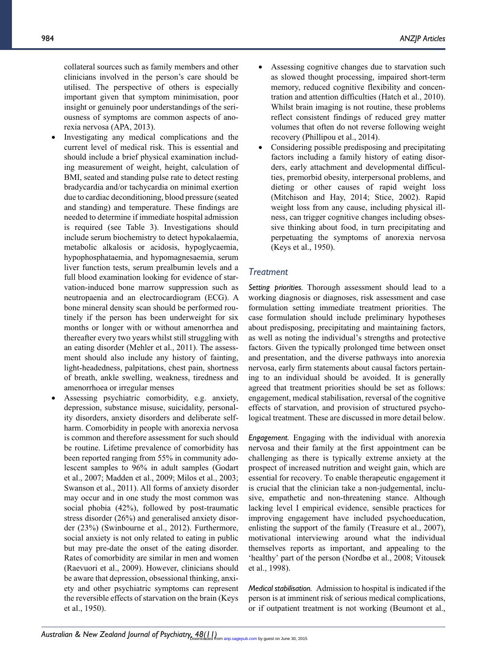collateral sources such as family members and other clinicians involved in the person's care should be utilised. The perspective of others is especially important given that symptom minimisation, poor insight or genuinely poor understandings of the seriousness of symptoms are common aspects of anorexia nervosa (APA, 2013).

- Investigating any medical complications and the current level of medical risk. This is essential and should include a brief physical examination including measurement of weight, height, calculation of BMI, seated and standing pulse rate to detect resting bradycardia and/or tachycardia on minimal exertion due to cardiac deconditioning, blood pressure (seated and standing) and temperature. These findings are needed to determine if immediate hospital admission is required (see Table 3). Investigations should include serum biochemistry to detect hypokalaemia, metabolic alkalosis or acidosis, hypoglycaemia, hypophosphataemia, and hypomagnesaemia, serum liver function tests, serum prealbumin levels and a full blood examination looking for evidence of starvation-induced bone marrow suppression such as neutropaenia and an electrocardiogram (ECG). A bone mineral density scan should be performed routinely if the person has been underweight for six months or longer with or without amenorrhea and thereafter every two years whilst still struggling with an eating disorder (Mehler et al., 2011). The assessment should also include any history of fainting, light-headedness, palpitations, chest pain, shortness of breath, ankle swelling, weakness, tiredness and amenorrhoea or irregular menses
- Assessing psychiatric comorbidity, e.g. anxiety, depression, substance misuse, suicidality, personality disorders, anxiety disorders and deliberate selfharm. Comorbidity in people with anorexia nervosa is common and therefore assessment for such should be routine. Lifetime prevalence of comorbidity has been reported ranging from 55% in community adolescent samples to 96% in adult samples (Godart et al., 2007; Madden et al., 2009; Milos et al., 2003; Swanson et al., 2011). All forms of anxiety disorder may occur and in one study the most common was social phobia (42%), followed by post-traumatic stress disorder (26%) and generalised anxiety disorder (23%) (Swinbourne et al., 2012). Furthermore, social anxiety is not only related to eating in public but may pre-date the onset of the eating disorder. Rates of comorbidity are similar in men and women (Raevuori et al., 2009). However, clinicians should be aware that depression, obsessional thinking, anxiety and other psychiatric symptoms can represent the reversible effects of starvation on the brain (Keys et al., 1950).
- Assessing cognitive changes due to starvation such as slowed thought processing, impaired short-term memory, reduced cognitive flexibility and concentration and attention difficulties (Hatch et al., 2010). Whilst brain imaging is not routine, these problems reflect consistent findings of reduced grey matter volumes that often do not reverse following weight recovery (Phillipou et al., 2014).
- Considering possible predisposing and precipitating factors including a family history of eating disorders, early attachment and developmental difficulties, premorbid obesity, interpersonal problems, and dieting or other causes of rapid weight loss (Mitchison and Hay, 2014; Stice, 2002). Rapid weight loss from any cause, including physical illness, can trigger cognitive changes including obsessive thinking about food, in turn precipitating and perpetuating the symptoms of anorexia nervosa (Keys et al., 1950).

# *Treatment*

*Setting priorities.* Thorough assessment should lead to a working diagnosis or diagnoses, risk assessment and case formulation setting immediate treatment priorities. The case formulation should include preliminary hypotheses about predisposing, precipitating and maintaining factors, as well as noting the individual's strengths and protective factors. Given the typically prolonged time between onset and presentation, and the diverse pathways into anorexia nervosa, early firm statements about causal factors pertaining to an individual should be avoided. It is generally agreed that treatment priorities should be set as follows: engagement, medical stabilisation, reversal of the cognitive effects of starvation, and provision of structured psychological treatment. These are discussed in more detail below.

*Engagement.* Engaging with the individual with anorexia nervosa and their family at the first appointment can be challenging as there is typically extreme anxiety at the prospect of increased nutrition and weight gain, which are essential for recovery. To enable therapeutic engagement it is crucial that the clinician take a non-judgemental, inclusive, empathetic and non-threatening stance. Although lacking level I empirical evidence, sensible practices for improving engagement have included psychoeducation, enlisting the support of the family (Treasure et al., 2007), motivational interviewing around what the individual themselves reports as important, and appealing to the 'healthy' part of the person (Nordbø et al., 2008; Vitousek et al., 1998).

*Medical stabilisation.* Admission to hospital is indicated if the person is at imminent risk of serious medical complications, or if outpatient treatment is not working (Beumont et al.,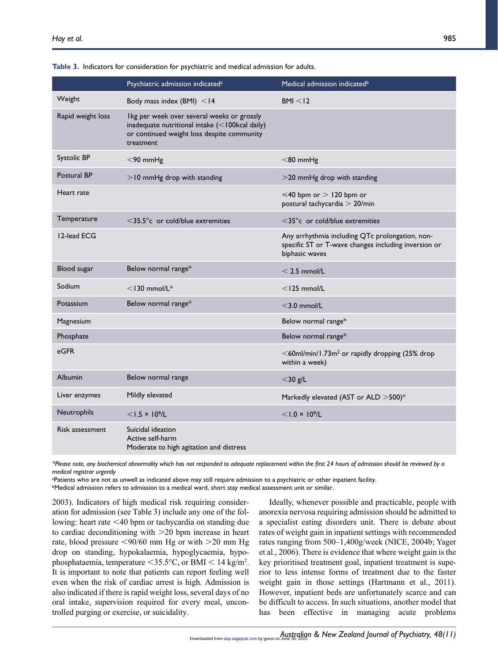|                   | Psychiatric admission indicated <sup>a</sup>                                                                                                            | Medical admission indicated <sup>b</sup>                                                                                  |
|-------------------|---------------------------------------------------------------------------------------------------------------------------------------------------------|---------------------------------------------------------------------------------------------------------------------------|
| Weight            | Body mass index (BMI) $<$ 14                                                                                                                            | BM < 12                                                                                                                   |
| Rapid weight loss | Ikg per week over several weeks or grossly<br>inadequate nutritional intake (<100kcal daily)<br>or continued weight loss despite community<br>treatment |                                                                                                                           |
| Systolic BP       | $<$ 90 mmHg                                                                                                                                             | $<$ 80 mmHg                                                                                                               |
| Postural BP       | $>$ 10 mmHg drop with standing                                                                                                                          | $>$ 20 mmHg drop with standing                                                                                            |
| Heart rate        |                                                                                                                                                         | ≤40 bpm or $>$ 120 bpm or<br>postural tachycardia > 20/min                                                                |
| Temperature       | $<$ 35.5 $^{\circ}$ c or cold/blue extremities                                                                                                          | $<$ 35 $^{\circ}$ c or cold/blue extremities                                                                              |
| 12-lead ECG       |                                                                                                                                                         | Any arrhythmia including QTc prolongation, non-<br>specific ST or T-wave changes including inversion or<br>biphasic waves |
| Blood sugar       | Below normal range*                                                                                                                                     | $<$ 2.5 mmol/L                                                                                                            |
| Sodium            | $<$ 130 mmol/L*                                                                                                                                         | $<$ 125 mmol/L                                                                                                            |
| Potassium         | Below normal range*                                                                                                                                     | $<$ 3.0 mmol/L                                                                                                            |
| Magnesium         |                                                                                                                                                         | Below normal range*                                                                                                       |
| Phosphate         |                                                                                                                                                         | Below normal range*                                                                                                       |
| eGFR              |                                                                                                                                                         | <60ml/min/1.73m <sup>2</sup> or rapidly dropping (25% drop<br>within a week)                                              |
| <b>Albumin</b>    | Below normal range                                                                                                                                      | $<$ 30 g/L                                                                                                                |
| Liver enzymes     | Mildly elevated                                                                                                                                         | Markedly elevated (AST or ALD >500)*                                                                                      |
| Neutrophils       | $<$ 1.5 × 10 <sup>9</sup> /L                                                                                                                            | $< 1.0 \times 10^{9}$ /L                                                                                                  |
| Risk assessment   | Suicidal ideation<br>Active self-harm<br>Moderate to high agitation and distress                                                                        |                                                                                                                           |

**Table 3.** Indicators for consideration for psychiatric and medical admission for adults.

*\*Please note, any biochemical abnormality which has not responded to adequate replacement within the first 24 hours of admission should be reviewed by a medical registrar urgently*

a Patients who are not as unwell as indicated above may still require admission to a psychiatric or other inpatient facility.

bMedical admission refers to admission to a medical ward, short stay medical assessment unit or similar.

2003). Indicators of high medical risk requiring consideration for admission (see Table 3) include any one of the following: heart rate <40 bpm or tachycardia on standing due to cardiac deconditioning with >20 bpm increase in heart rate, blood pressure  $\langle 90/60 \text{ mm Hg} \rangle$  or with  $>20 \text{ mm Hg}$ drop on standing, hypokalaemia, hypoglycaemia, hypophosphataemia, temperature  $\leq$ 35.5°C, or BMI  $\leq$  14 kg/m<sup>2</sup>. It is important to note that patients can report feeling well even when the risk of cardiac arrest is high. Admission is also indicated if there is rapid weight loss, several days of no oral intake, supervision required for every meal, uncontrolled purging or exercise, or suicidality.

Ideally, whenever possible and practicable, people with anorexia nervosa requiring admission should be admitted to a specialist eating disorders unit. There is debate about rates of weight gain in inpatient settings with recommended rates ranging from 500–1,400g/week (NICE, 2004b; Yager et al., 2006). There is evidence that where weight gain is the key prioritised treatment goal, inpatient treatment is superior to less intense forms of treatment due to the faster weight gain in those settings (Hartmann et al., 2011). However, inpatient beds are unfortunately scarce and can be difficult to access. In such situations, another model that has been effective in managing acute problems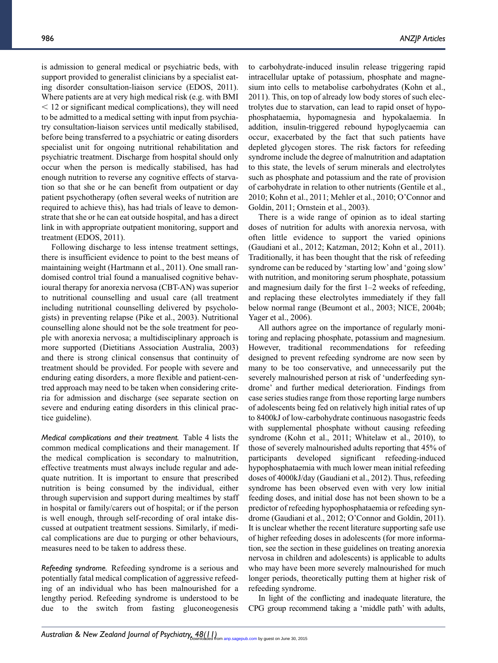is admission to general medical or psychiatric beds, with support provided to generalist clinicians by a specialist eating disorder consultation-liaison service (EDOS, 2011). Where patients are at very high medical risk (e.g. with BMI  $<$  12 or significant medical complications), they will need to be admitted to a medical setting with input from psychiatry consultation-liaison services until medically stabilised, before being transferred to a psychiatric or eating disorders specialist unit for ongoing nutritional rehabilitation and psychiatric treatment. Discharge from hospital should only occur when the person is medically stabilised, has had enough nutrition to reverse any cognitive effects of starvation so that she or he can benefit from outpatient or day patient psychotherapy (often several weeks of nutrition are required to achieve this), has had trials of leave to demonstrate that she or he can eat outside hospital, and has a direct link in with appropriate outpatient monitoring, support and

treatment (EDOS, 2011).

Following discharge to less intense treatment settings, there is insufficient evidence to point to the best means of maintaining weight (Hartmann et al., 2011). One small randomised control trial found a manualised cognitive behavioural therapy for anorexia nervosa (CBT-AN) was superior to nutritional counselling and usual care (all treatment including nutritional counselling delivered by psychologists) in preventing relapse (Pike et al., 2003). Nutritional counselling alone should not be the sole treatment for people with anorexia nervosa; a multidisciplinary approach is more supported (Dietitians Association Australia, 2003) and there is strong clinical consensus that continuity of treatment should be provided. For people with severe and enduring eating disorders, a more flexible and patient-centred approach may need to be taken when considering criteria for admission and discharge (see separate section on severe and enduring eating disorders in this clinical practice guideline).

*Medical complications and their treatment.* Table 4 lists the common medical complications and their management. If the medical complication is secondary to malnutrition, effective treatments must always include regular and adequate nutrition. It is important to ensure that prescribed nutrition is being consumed by the individual, either through supervision and support during mealtimes by staff in hospital or family/carers out of hospital; or if the person is well enough, through self-recording of oral intake discussed at outpatient treatment sessions. Similarly, if medical complications are due to purging or other behaviours, measures need to be taken to address these.

*Refeeding syndrome.* Refeeding syndrome is a serious and potentially fatal medical complication of aggressive refeeding of an individual who has been malnourished for a lengthy period. Refeeding syndrome is understood to be due to the switch from fasting gluconeogenesis to carbohydrate-induced insulin release triggering rapid intracellular uptake of potassium, phosphate and magnesium into cells to metabolise carbohydrates (Kohn et al., 2011). This, on top of already low body stores of such electrolytes due to starvation, can lead to rapid onset of hypophosphataemia, hypomagnesia and hypokalaemia. In addition, insulin-triggered rebound hypoglycaemia can occur, exacerbated by the fact that such patients have depleted glycogen stores. The risk factors for refeeding syndrome include the degree of malnutrition and adaptation to this state, the levels of serum minerals and electrolytes such as phosphate and potassium and the rate of provision of carbohydrate in relation to other nutrients (Gentile et al., 2010; Kohn et al., 2011; Mehler et al., 2010; O'Connor and Goldin, 2011; Ornstein et al., 2003).

There is a wide range of opinion as to ideal starting doses of nutrition for adults with anorexia nervosa, with often little evidence to support the varied opinions (Gaudiani et al., 2012; Katzman, 2012; Kohn et al., 2011). Traditionally, it has been thought that the risk of refeeding syndrome can be reduced by 'starting low' and 'going slow' with nutrition, and monitoring serum phosphate, potassium and magnesium daily for the first 1–2 weeks of refeeding, and replacing these electrolytes immediately if they fall below normal range (Beumont et al., 2003; NICE, 2004b; Yager et al., 2006).

All authors agree on the importance of regularly monitoring and replacing phosphate, potassium and magnesium. However, traditional recommendations for refeeding designed to prevent refeeding syndrome are now seen by many to be too conservative, and unnecessarily put the severely malnourished person at risk of 'underfeeding syndrome' and further medical deterioration. Findings from case series studies range from those reporting large numbers of adolescents being fed on relatively high initial rates of up to 8400kJ of low-carbohydrate continuous nasogastric feeds with supplemental phosphate without causing refeeding syndrome (Kohn et al., 2011; Whitelaw et al., 2010), to those of severely malnourished adults reporting that 45% of participants developed significant refeeding-induced hypophosphataemia with much lower mean initial refeeding doses of 4000kJ/day (Gaudiani et al., 2012). Thus, refeeding syndrome has been observed even with very low initial feeding doses, and initial dose has not been shown to be a predictor of refeeding hypophosphataemia or refeeding syndrome (Gaudiani et al., 2012; O'Connor and Goldin, 2011). It is unclear whether the recent literature supporting safe use of higher refeeding doses in adolescents (for more information, see the section in these guidelines on treating anorexia nervosa in children and adolescents) is applicable to adults who may have been more severely malnourished for much longer periods, theoretically putting them at higher risk of refeeding syndrome.

In light of the conflicting and inadequate literature, the CPG group recommend taking a 'middle path' with adults,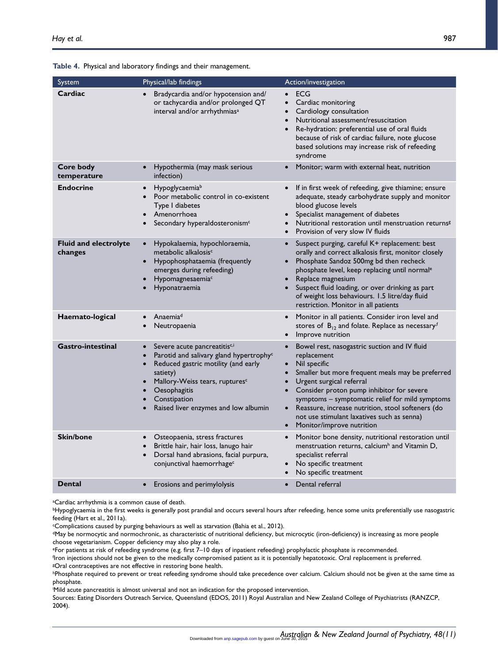| System                                  | Physical/lab findings                                                                                                                                                                                                                                         | Action/investigation                                                                                                                                                                                                                                                                                                                                                                                       |
|-----------------------------------------|---------------------------------------------------------------------------------------------------------------------------------------------------------------------------------------------------------------------------------------------------------------|------------------------------------------------------------------------------------------------------------------------------------------------------------------------------------------------------------------------------------------------------------------------------------------------------------------------------------------------------------------------------------------------------------|
| Cardiac                                 | Bradycardia and/or hypotension and/<br>$\bullet$<br>or tachycardia and/or prolonged QT<br>interval and/or arrhythmias <sup>a</sup>                                                                                                                            | <b>ECG</b><br>$\bullet$<br>Cardiac monitoring<br>Cardiology consultation<br>Nutritional assessment/resuscitation<br>$\bullet$<br>Re-hydration: preferential use of oral fluids<br>$\bullet$<br>because of risk of cardiac failure, note glucose<br>based solutions may increase risk of refeeding<br>syndrome                                                                                              |
| <b>Core body</b><br>temperature         | Hypothermia (may mask serious<br>infection)                                                                                                                                                                                                                   | Monitor; warm with external heat, nutrition                                                                                                                                                                                                                                                                                                                                                                |
| <b>Endocrine</b>                        | Hypoglycaemiab<br>$\bullet$<br>Poor metabolic control in co-existent<br>Type I diabetes<br>Amenorrhoea<br>Secondary hyperaldosteronism <sup>c</sup>                                                                                                           | If in first week of refeeding, give thiamine; ensure<br>adequate, steady carbohydrate supply and monitor<br>blood glucose levels<br>Specialist management of diabetes<br>Nutritional restoration until menstruation returns <sup>g</sup><br>Provision of very slow IV fluids                                                                                                                               |
| <b>Fluid and electrolyte</b><br>changes | Hypokalaemia, hypochloraemia,<br>metabolic alkalosis <sup>c</sup><br>Hypophosphataemia (frequently<br>emerges during refeeding)<br>Hypomagnesaemiac<br>Hyponatraemia                                                                                          | Suspect purging, careful K+ replacement: best<br>orally and correct alkalosis first, monitor closely<br>Phosphate Sandoz 500mg bd then recheck<br>phosphate level, keep replacing until normal <sup>e</sup><br>Replace magnesium<br>Suspect fluid loading, or over drinking as part<br>of weight loss behaviours. 1.5 litre/day fluid<br>restriction. Monitor in all patients                              |
| Haemato-logical                         | Anaemia <sup>d</sup><br>Neutropaenia                                                                                                                                                                                                                          | Monitor in all patients. Consider iron level and<br>stores of $B_{12}$ and folate. Replace as necessary,f<br>Improve nutrition                                                                                                                                                                                                                                                                             |
| Gastro-intestinal                       | Severe acute pancreatitisc,i<br>Parotid and salivary gland hypertrophyc<br>$\bullet$<br>Reduced gastric motility (and early<br>satiety)<br>Mallory-Weiss tears, ruptures <sup>c</sup><br>Oesophagitis<br>Constipation<br>Raised liver enzymes and low albumin | Bowel rest, nasogastric suction and IV fluid<br>replacement<br>Nil specific<br>Smaller but more frequent meals may be preferred<br>Urgent surgical referral<br>$\bullet$<br>Consider proton pump inhibitor for severe<br>symptoms - symptomatic relief for mild symptoms<br>Reassure, increase nutrition, stool softeners (do<br>not use stimulant laxatives such as senna)<br>• Monitor/improve nutrition |
| <b>Skin/bone</b>                        | Osteopaenia, stress fractures<br>Brittle hair, hair loss, lanugo hair<br>Dorsal hand abrasions, facial purpura,<br>conjunctival haemorrhage <sup>c</sup>                                                                                                      | Monitor bone density, nutritional restoration until<br>menstruation returns, calcium <sup>h</sup> and Vitamin D,<br>specialist referral<br>No specific treatment<br>No specific treatment                                                                                                                                                                                                                  |
| Dental                                  | Erosions and perimylolysis<br>$\bullet$                                                                                                                                                                                                                       | Dental referral<br>$\bullet$                                                                                                                                                                                                                                                                                                                                                                               |

**Table 4.** Physical and laboratory findings and their management.

a Cardiac arrhythmia is a common cause of death.

bHypoglycaemia in the first weeks is generally post prandial and occurs several hours after refeeding, hence some units preferentially use nasogastric feeding (Hart et al., 2011a).

cComplications caused by purging behaviours as well as starvation (Bahia et al., 2012).

dMay be normocytic and normochronic, as characteristic of nutritional deficiency, but microcytic (iron-deficiency) is increasing as more people choose vegetarianism. Copper deficiency may also play a role.

eFor patients at risk of refeeding syndrome (e.g. first 7–10 days of inpatient refeeding) prophylactic phosphate is recommended. f Iron injections should not be given to the medically compromised patient as it is potentially hepatotoxic. Oral replacement is preferred.

g Oral contraceptives are not effective in restoring bone health.

hPhosphate required to prevent or treat refeeding syndrome should take precedence over calcium. Calcium should not be given at the same time as phosphate.

i Mild acute pancreatitis is almost universal and not an indication for the proposed intervention.

Sources: Eating Disorders Outreach Service, Queensland (EDOS, 2011) Royal Australian and New Zealand College of Psychiatrists (RANZCP, 2004).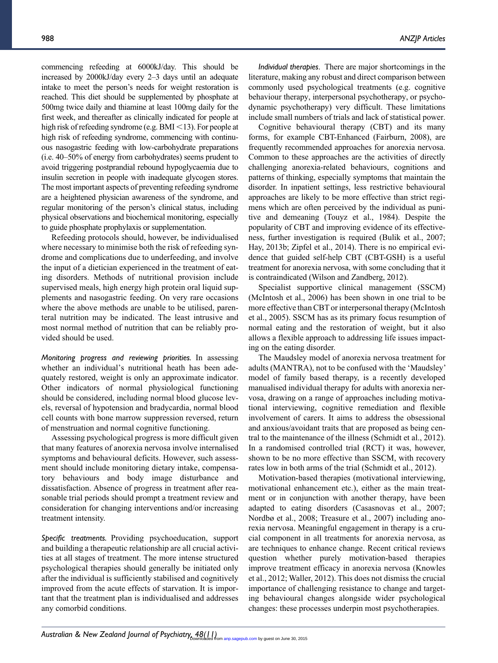commencing refeeding at 6000kJ/day. This should be increased by 2000kJ/day every 2–3 days until an adequate intake to meet the person's needs for weight restoration is reached. This diet should be supplemented by phosphate at 500mg twice daily and thiamine at least 100mg daily for the first week, and thereafter as clinically indicated for people at high risk of refeeding syndrome (e.g. BMI <13). For people at high risk of refeeding syndrome, commencing with continuous nasogastric feeding with low-carbohydrate preparations (i.e. 40–50% of energy from carbohydrates) seems prudent to avoid triggering postprandial rebound hypoglycaemia due to insulin secretion in people with inadequate glycogen stores. The most important aspects of preventing refeeding syndrome are a heightened physician awareness of the syndrome, and regular monitoring of the person's clinical status, including physical observations and biochemical monitoring, especially to guide phosphate prophylaxis or supplementation.

Refeeding protocols should, however, be individualised where necessary to minimise both the risk of refeeding syndrome and complications due to underfeeding, and involve the input of a dietician experienced in the treatment of eating disorders. Methods of nutritional provision include supervised meals, high energy high protein oral liquid supplements and nasogastric feeding. On very rare occasions where the above methods are unable to be utilised, parenteral nutrition may be indicated. The least intrusive and most normal method of nutrition that can be reliably provided should be used.

*Monitoring progress and reviewing priorities.* In assessing whether an individual's nutritional heath has been adequately restored, weight is only an approximate indicator. Other indicators of normal physiological functioning should be considered, including normal blood glucose levels, reversal of hypotension and bradycardia, normal blood cell counts with bone marrow suppression reversed, return of menstruation and normal cognitive functioning.

Assessing psychological progress is more difficult given that many features of anorexia nervosa involve internalised symptoms and behavioural deficits. However, such assessment should include monitoring dietary intake, compensatory behaviours and body image disturbance and dissatisfaction. Absence of progress in treatment after reasonable trial periods should prompt a treatment review and consideration for changing interventions and/or increasing treatment intensity.

*Specific treatments.* Providing psychoeducation, support and building a therapeutic relationship are all crucial activities at all stages of treatment. The more intense structured psychological therapies should generally be initiated only after the individual is sufficiently stabilised and cognitively improved from the acute effects of starvation. It is important that the treatment plan is individualised and addresses any comorbid conditions.

*Individual therapies*. There are major shortcomings in the literature, making any robust and direct comparison between commonly used psychological treatments (e.g. cognitive behaviour therapy, interpersonal psychotherapy, or psychodynamic psychotherapy) very difficult. These limitations include small numbers of trials and lack of statistical power.

Cognitive behavioural therapy (CBT) and its many forms, for example CBT-Enhanced (Fairburn, 2008), are frequently recommended approaches for anorexia nervosa. Common to these approaches are the activities of directly challenging anorexia-related behaviours, cognitions and patterns of thinking, especially symptoms that maintain the disorder. In inpatient settings, less restrictive behavioural approaches are likely to be more effective than strict regimens which are often perceived by the individual as punitive and demeaning (Touyz et al., 1984). Despite the popularity of CBT and improving evidence of its effectiveness, further investigation is required (Bulik et al., 2007; Hay, 2013b; Zipfel et al., 2014). There is no empirical evidence that guided self-help CBT (CBT-GSH) is a useful treatment for anorexia nervosa, with some concluding that it is contraindicated (Wilson and Zandberg, 2012).

Specialist supportive clinical management (SSCM) (McIntosh et al., 2006) has been shown in one trial to be more effective than CBT or interpersonal therapy (McIntosh et al., 2005). SSCM has as its primary focus resumption of normal eating and the restoration of weight, but it also allows a flexible approach to addressing life issues impacting on the eating disorder.

The Maudsley model of anorexia nervosa treatment for adults (MANTRA), not to be confused with the 'Maudsley' model of family based therapy, is a recently developed manualised individual therapy for adults with anorexia nervosa, drawing on a range of approaches including motivational interviewing, cognitive remediation and flexible involvement of carers. It aims to address the obsessional and anxious/avoidant traits that are proposed as being central to the maintenance of the illness (Schmidt et al., 2012). In a randomised controlled trial (RCT) it was, however, shown to be no more effective than SSCM, with recovery rates low in both arms of the trial (Schmidt et al., 2012).

Motivation-based therapies (motivational interviewing, motivational enhancement etc.), either as the main treatment or in conjunction with another therapy, have been adapted to eating disorders (Casasnovas et al., 2007; Nordbø et al., 2008; Treasure et al., 2007) including anorexia nervosa. Meaningful engagement in therapy is a crucial component in all treatments for anorexia nervosa, as are techniques to enhance change. Recent critical reviews question whether purely motivation-based therapies improve treatment efficacy in anorexia nervosa (Knowles et al., 2012; Waller, 2012). This does not dismiss the crucial importance of challenging resistance to change and targeting behavioural changes alongside wider psychological changes: these processes underpin most psychotherapies.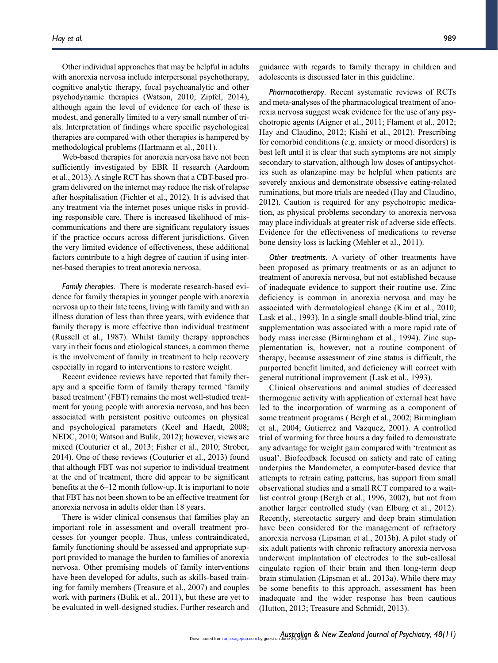Other individual approaches that may be helpful in adults with anorexia nervosa include interpersonal psychotherapy. cognitive analytic therapy, focal psychoanalytic and other psychodynamic therapies (Watson, 2010; Zipfel, 2014), although again the level of evidence for each of these is modest, and generally limited to a very small number of trials. Interpretation of findings where specific psychological therapies are compared with other therapies is hampered by methodological problems (Hartmann et al., 2011).

Web-based therapies for anorexia nervosa have not been sufficiently investigated by EBR II research (Aardoom et al., 2013). A single RCT has shown that a CBT-based program delivered on the internet may reduce the risk of relapse after hospitalisation (Fichter et al., 2012). It is advised that any treatment via the internet poses unique risks in providing responsible care. There is increased likelihood of miscommunications and there are significant regulatory issues if the practice occurs across different jurisdictions. Given the very limited evidence of effectiveness, these additional factors contribute to a high degree of caution if using internet-based therapies to treat anorexia nervosa.

*Family therapies*. There is moderate research-based evidence for family therapies in younger people with anorexia nervosa up to their late teens, living with family and with an illness duration of less than three years, with evidence that family therapy is more effective than individual treatment (Russell et al., 1987). Whilst family therapy approaches vary in their focus and etiological stances, a common theme is the involvement of family in treatment to help recovery especially in regard to interventions to restore weight.

Recent evidence reviews have reported that family therapy and a specific form of family therapy termed 'family based treatment' (FBT) remains the most well-studied treatment for young people with anorexia nervosa, and has been associated with persistent positive outcomes on physical and psychological parameters (Keel and Haedt, 2008; NEDC, 2010; Watson and Bulik, 2012); however, views are mixed (Couturier et al., 2013; Fisher et al., 2010; Strober, 2014). One of these reviews (Couturier et al., 2013) found that although FBT was not superior to individual treatment at the end of treatment, there did appear to be significant benefits at the 6–12 month follow-up. It is important to note that FBT has not been shown to be an effective treatment for anorexia nervosa in adults older than 18 years.

There is wider clinical consensus that families play an important role in assessment and overall treatment processes for younger people. Thus, unless contraindicated, family functioning should be assessed and appropriate support provided to manage the burden to families of anorexia nervosa. Other promising models of family interventions have been developed for adults, such as skills-based training for family members (Treasure et al., 2007) and couples work with partners (Bulik et al., 2011), but these are yet to be evaluated in well-designed studies. Further research and

guidance with regards to family therapy in children and adolescents is discussed later in this guideline.

*Pharmacotherapy*. Recent systematic reviews of RCTs and meta-analyses of the pharmacological treatment of anorexia nervosa suggest weak evidence for the use of any psychotropic agents (Aigner et al., 2011; Flament et al., 2012; Hay and Claudino, 2012; Kishi et al., 2012). Prescribing for comorbid conditions (e.g. anxiety or mood disorders) is best left until it is clear that such symptoms are not simply secondary to starvation, although low doses of antipsychotics such as olanzapine may be helpful when patients are severely anxious and demonstrate obsessive eating-related ruminations, but more trials are needed (Hay and Claudino, 2012). Caution is required for any psychotropic medication, as physical problems secondary to anorexia nervosa may place individuals at greater risk of adverse side effects. Evidence for the effectiveness of medications to reverse bone density loss is lacking (Mehler et al., 2011).

*Other treatments*. A variety of other treatments have been proposed as primary treatments or as an adjunct to treatment of anorexia nervosa, but not established because of inadequate evidence to support their routine use. Zinc deficiency is common in anorexia nervosa and may be associated with dermatological change (Kim et al., 2010; Lask et al., 1993). In a single small double-blind trial, zinc supplementation was associated with a more rapid rate of body mass increase (Birmingham et al., 1994). Zinc supplementation is, however, not a routine component of therapy, because assessment of zinc status is difficult, the purported benefit limited, and deficiency will correct with general nutritional improvement (Lask et al., 1993).

Clinical observations and animal studies of decreased thermogenic activity with application of external heat have led to the incorporation of warming as a component of some treatment programs ( Bergh et al., 2002; Birmingham et al., 2004; Gutierrez and Vazquez, 2001). A controlled trial of warming for three hours a day failed to demonstrate any advantage for weight gain compared with 'treatment as usual'. Biofeedback focused on satiety and rate of eating underpins the Mandometer, a computer-based device that attempts to retrain eating patterns, has support from small observational studies and a small RCT compared to a waitlist control group (Bergh et al., 1996, 2002), but not from another larger controlled study (van Elburg et al., 2012). Recently, stereotactic surgery and deep brain stimulation have been considered for the management of refractory anorexia nervosa (Lipsman et al., 2013b). A pilot study of six adult patients with chronic refractory anorexia nervosa underwent implantation of electrodes to the sub-callosal cingulate region of their brain and then long-term deep brain stimulation (Lipsman et al., 2013a). While there may be some benefits to this approach, assessment has been inadequate and the wider response has been cautious (Hutton, 2013; Treasure and Schmidt, 2013).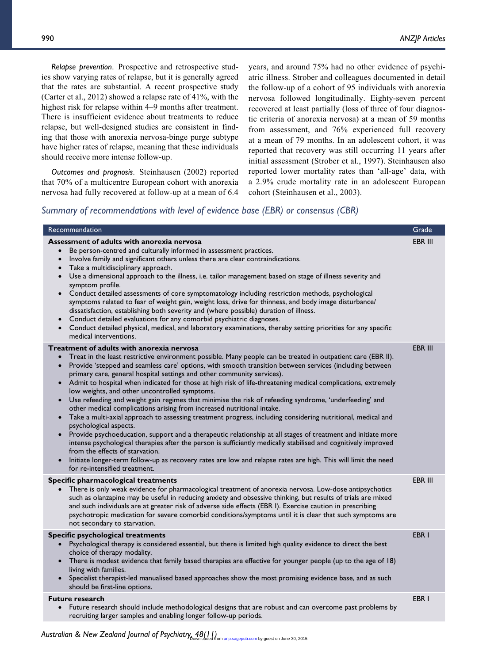*Relapse prevention*. Prospective and retrospective studies show varying rates of relapse, but it is generally agreed that the rates are substantial. A recent prospective study (Carter et al., 2012) showed a relapse rate of 41%, with the highest risk for relapse within 4–9 months after treatment. There is insufficient evidence about treatments to reduce relapse, but well-designed studies are consistent in finding that those with anorexia nervosa-binge purge subtype have higher rates of relapse, meaning that these individuals should receive more intense follow-up.

*Outcomes and prognosis*. Steinhausen (2002) reported that 70% of a multicentre European cohort with anorexia nervosa had fully recovered at follow-up at a mean of 6.4 years, and around 75% had no other evidence of psychiatric illness. Strober and colleagues documented in detail the follow-up of a cohort of 95 individuals with anorexia nervosa followed longitudinally. Eighty-seven percent recovered at least partially (loss of three of four diagnostic criteria of anorexia nervosa) at a mean of 59 months from assessment, and 76% experienced full recovery at a mean of 79 months. In an adolescent cohort, it was reported that recovery was still occurring 11 years after initial assessment (Strober et al., 1997). Steinhausen also reported lower mortality rates than 'all-age' data, with a 2.9% crude mortality rate in an adolescent European cohort (Steinhausen et al., 2003).

# *Summary of recommendations with level of evidence base (EBR) or consensus (CBR)*

| Recommendation                                                                                                                                                                                                                                                                                                                                                                                                                                                                                                                                                                                                                                                                                                                                                                                                                                                                                                                                                                                                                                                                                                                                                                                                                                                                                    | Grade          |
|---------------------------------------------------------------------------------------------------------------------------------------------------------------------------------------------------------------------------------------------------------------------------------------------------------------------------------------------------------------------------------------------------------------------------------------------------------------------------------------------------------------------------------------------------------------------------------------------------------------------------------------------------------------------------------------------------------------------------------------------------------------------------------------------------------------------------------------------------------------------------------------------------------------------------------------------------------------------------------------------------------------------------------------------------------------------------------------------------------------------------------------------------------------------------------------------------------------------------------------------------------------------------------------------------|----------------|
| Assessment of adults with anorexia nervosa<br>Be person-centred and culturally informed in assessment practices.<br>Involve family and significant others unless there are clear contraindications.<br>$\bullet$<br>Take a multidisciplinary approach.<br>$\bullet$<br>Use a dimensional approach to the illness, i.e. tailor management based on stage of illness severity and<br>$\bullet$<br>symptom profile.<br>Conduct detailed assessments of core symptomatology including restriction methods, psychological<br>$\bullet$<br>symptoms related to fear of weight gain, weight loss, drive for thinness, and body image disturbance/<br>dissatisfaction, establishing both severity and (where possible) duration of illness.<br>Conduct detailed evaluations for any comorbid psychiatric diagnoses.<br>$\bullet$<br>Conduct detailed physical, medical, and laboratory examinations, thereby setting priorities for any specific<br>$\bullet$<br>medical interventions.                                                                                                                                                                                                                                                                                                                   | EBR III        |
| Treatment of adults with anorexia nervosa<br>Treat in the least restrictive environment possible. Many people can be treated in outpatient care (EBR II).<br>Provide 'stepped and seamless care' options, with smooth transition between services (including between<br>$\bullet$<br>primary care, general hospital settings and other community services).<br>• Admit to hospital when indicated for those at high risk of life-threatening medical complications, extremely<br>low weights, and other uncontrolled symptoms.<br>Use refeeding and weight gain regimes that minimise the risk of refeeding syndrome, 'underfeeding' and<br>other medical complications arising from increased nutritional intake.<br>• Take a multi-axial approach to assessing treatment progress, including considering nutritional, medical and<br>psychological aspects.<br>Provide psychoeducation, support and a therapeutic relationship at all stages of treatment and initiate more<br>intense psychological therapies after the person is sufficiently medically stabilised and cognitively improved<br>from the effects of starvation.<br>Initiate longer-term follow-up as recovery rates are low and relapse rates are high. This will limit the need<br>$\bullet$<br>for re-intensified treatment. | <b>EBR III</b> |
| Specific pharmacological treatments<br>There is only weak evidence for pharmacological treatment of anorexia nervosa. Low-dose antipsychotics<br>such as olanzapine may be useful in reducing anxiety and obsessive thinking, but results of trials are mixed<br>and such individuals are at greater risk of adverse side effects (EBR I). Exercise caution in prescribing<br>psychotropic medication for severe comorbid conditions/symptoms until it is clear that such symptoms are<br>not secondary to starvation.                                                                                                                                                                                                                                                                                                                                                                                                                                                                                                                                                                                                                                                                                                                                                                            | EBR III        |
| Specific psychological treatments<br>Psychological therapy is considered essential, but there is limited high quality evidence to direct the best<br>$\bullet$<br>choice of therapy modality.<br>• There is modest evidence that family based therapies are effective for younger people (up to the age of 18)<br>living with families.<br>Specialist therapist-led manualised based approaches show the most promising evidence base, and as such<br>$\bullet$<br>should be first-line options.                                                                                                                                                                                                                                                                                                                                                                                                                                                                                                                                                                                                                                                                                                                                                                                                  | EBR I          |
| <b>Future research</b><br>Future research should include methodological designs that are robust and can overcome past problems by<br>$\bullet$<br>recruiting larger samples and enabling longer follow-up periods.                                                                                                                                                                                                                                                                                                                                                                                                                                                                                                                                                                                                                                                                                                                                                                                                                                                                                                                                                                                                                                                                                | EBR I          |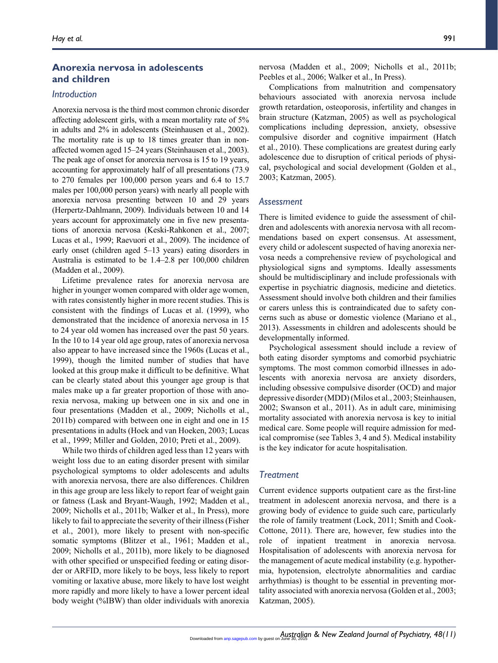# **Anorexia nervosa in adolescents and children**

#### *Introduction*

Anorexia nervosa is the third most common chronic disorder affecting adolescent girls, with a mean mortality rate of 5% in adults and 2% in adolescents (Steinhausen et al., 2002). The mortality rate is up to 18 times greater than in nonaffected women aged 15–24 years (Steinhausen et al., 2003). The peak age of onset for anorexia nervosa is 15 to 19 years, accounting for approximately half of all presentations (73.9 to 270 females per 100,000 person years and 6.4 to 15.7 males per 100,000 person years) with nearly all people with anorexia nervosa presenting between 10 and 29 years (Herpertz-Dahlmann, 2009). Individuals between 10 and 14 years account for approximately one in five new presentations of anorexia nervosa (Keski-Rahkonen et al., 2007; Lucas et al., 1999; Raevuori et al., 2009). The incidence of early onset (children aged 5–13 years) eating disorders in Australia is estimated to be 1.4–2.8 per 100,000 children (Madden et al., 2009).

Lifetime prevalence rates for anorexia nervosa are higher in younger women compared with older age women, with rates consistently higher in more recent studies. This is consistent with the findings of Lucas et al. (1999), who demonstrated that the incidence of anorexia nervosa in 15 to 24 year old women has increased over the past 50 years. In the 10 to 14 year old age group, rates of anorexia nervosa also appear to have increased since the 1960s (Lucas et al., 1999), though the limited number of studies that have looked at this group make it difficult to be definitive. What can be clearly stated about this younger age group is that males make up a far greater proportion of those with anorexia nervosa, making up between one in six and one in four presentations (Madden et al., 2009; Nicholls et al., 2011b) compared with between one in eight and one in 15 presentations in adults (Hoek and van Hoeken, 2003; Lucas et al., 1999; Miller and Golden, 2010; Preti et al., 2009).

While two thirds of children aged less than 12 years with weight loss due to an eating disorder present with similar psychological symptoms to older adolescents and adults with anorexia nervosa, there are also differences. Children in this age group are less likely to report fear of weight gain or fatness (Lask and Bryant-Waugh, 1992; Madden et al., 2009; Nicholls et al., 2011b; Walker et al., In Press), more likely to fail to appreciate the severity of their illness (Fisher et al., 2001), more likely to present with non-specific somatic symptoms (Blitzer et al., 1961; Madden et al., 2009; Nicholls et al., 2011b), more likely to be diagnosed with other specified or unspecified feeding or eating disorder or ARFID, more likely to be boys, less likely to report vomiting or laxative abuse, more likely to have lost weight more rapidly and more likely to have a lower percent ideal body weight (%IBW) than older individuals with anorexia

nervosa (Madden et al., 2009; Nicholls et al., 2011b; Peebles et al., 2006; Walker et al., In Press).

Complications from malnutrition and compensatory behaviours associated with anorexia nervosa include growth retardation, osteoporosis, infertility and changes in brain structure (Katzman, 2005) as well as psychological complications including depression, anxiety, obsessive compulsive disorder and cognitive impairment (Hatch et al., 2010). These complications are greatest during early adolescence due to disruption of critical periods of physical, psychological and social development (Golden et al., 2003; Katzman, 2005).

#### *Assessment*

There is limited evidence to guide the assessment of children and adolescents with anorexia nervosa with all recommendations based on expert consensus. At assessment, every child or adolescent suspected of having anorexia nervosa needs a comprehensive review of psychological and physiological signs and symptoms. Ideally assessments should be multidisciplinary and include professionals with expertise in psychiatric diagnosis, medicine and dietetics. Assessment should involve both children and their families or carers unless this is contraindicated due to safety concerns such as abuse or domestic violence (Mariano et al., 2013). Assessments in children and adolescents should be developmentally informed.

Psychological assessment should include a review of both eating disorder symptoms and comorbid psychiatric symptoms. The most common comorbid illnesses in adolescents with anorexia nervosa are anxiety disorders, including obsessive compulsive disorder (OCD) and major depressive disorder (MDD) (Milos et al., 2003; Steinhausen, 2002; Swanson et al., 2011). As in adult care, minimising mortality associated with anorexia nervosa is key to initial medical care. Some people will require admission for medical compromise (see Tables 3, 4 and 5). Medical instability is the key indicator for acute hospitalisation.

### *Treatment*

Current evidence supports outpatient care as the first-line treatment in adolescent anorexia nervosa, and there is a growing body of evidence to guide such care, particularly the role of family treatment (Lock, 2011; Smith and Cook-Cottone, 2011). There are, however, few studies into the role of inpatient treatment in anorexia nervosa. Hospitalisation of adolescents with anorexia nervosa for the management of acute medical instability (e.g. hypothermia, hypotension, electrolyte abnormalities and cardiac arrhythmias) is thought to be essential in preventing mortality associated with anorexia nervosa (Golden et al., 2003; Katzman, 2005).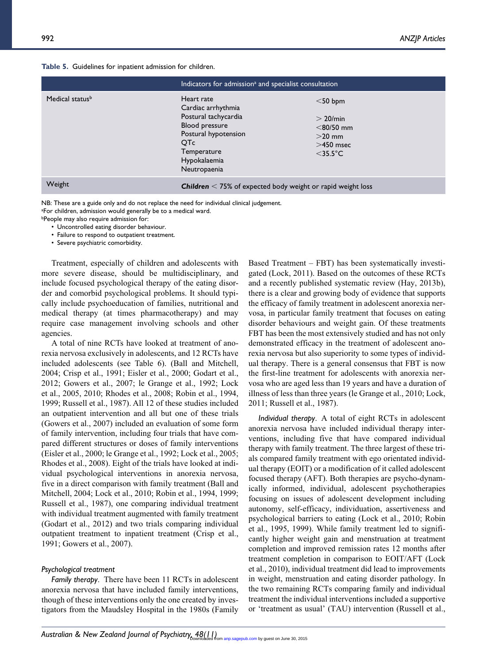| Table 5. Guidelines for inpatient admission for children. |  |  |
|-----------------------------------------------------------|--|--|
|-----------------------------------------------------------|--|--|

|                             | Indicators for admission <sup>a</sup> and specialist consultation                                                                                                    |                                                                                                |
|-----------------------------|----------------------------------------------------------------------------------------------------------------------------------------------------------------------|------------------------------------------------------------------------------------------------|
| Medical status <sup>b</sup> | Heart rate<br>Cardiac arrhythmia<br>Postural tachycardia<br>Blood pressure<br>Postural hypotension<br>OT <sub>c</sub><br>Temperature<br>Hypokalaemia<br>Neutropaenia | $<$ 50 bpm<br>$> 20$ /min<br>$<$ 80/50 mm<br>$>$ 20 mm<br>$>$ 450 msec<br>$<$ 35.5 $\degree$ C |
| Weight                      | <b>Children</b> $\leq$ 75% of expected body weight or rapid weight loss                                                                                              |                                                                                                |

NB: These are a guide only and do not replace the need for individual clinical judgement.

a For children, admission would generally be to a medical ward.

**bPeople may also require admission for:** 

- Uncontrolled eating disorder behaviour.
- Failure to respond to outpatient treatment.
- Severe psychiatric comorbidity.

Treatment, especially of children and adolescents with more severe disease, should be multidisciplinary, and include focused psychological therapy of the eating disorder and comorbid psychological problems. It should typically include psychoeducation of families, nutritional and medical therapy (at times pharmacotherapy) and may require case management involving schools and other agencies.

A total of nine RCTs have looked at treatment of anorexia nervosa exclusively in adolescents, and 12 RCTs have included adolescents (see Table 6). (Ball and Mitchell, 2004; Crisp et al., 1991; Eisler et al., 2000; Godart et al., 2012; Gowers et al., 2007; le Grange et al., 1992; Lock et al., 2005, 2010; Rhodes et al., 2008; Robin et al., 1994, 1999; Russell et al., 1987). All 12 of these studies included an outpatient intervention and all but one of these trials (Gowers et al., 2007) included an evaluation of some form of family intervention, including four trials that have compared different structures or doses of family interventions (Eisler et al., 2000; le Grange et al., 1992; Lock et al., 2005; Rhodes et al., 2008). Eight of the trials have looked at individual psychological interventions in anorexia nervosa, five in a direct comparison with family treatment (Ball and Mitchell, 2004; Lock et al., 2010; Robin et al., 1994, 1999; Russell et al., 1987), one comparing individual treatment with individual treatment augmented with family treatment (Godart et al., 2012) and two trials comparing individual outpatient treatment to inpatient treatment (Crisp et al., 1991; Gowers et al., 2007).

### *Psychological treatment*

*Family therapy*. There have been 11 RCTs in adolescent anorexia nervosa that have included family interventions, though of these interventions only the one created by investigators from the Maudsley Hospital in the 1980s (Family Based Treatment – FBT) has been systematically investigated (Lock, 2011). Based on the outcomes of these RCTs and a recently published systematic review (Hay, 2013b), there is a clear and growing body of evidence that supports the efficacy of family treatment in adolescent anorexia nervosa, in particular family treatment that focuses on eating disorder behaviours and weight gain. Of these treatments FBT has been the most extensively studied and has not only demonstrated efficacy in the treatment of adolescent anorexia nervosa but also superiority to some types of individual therapy. There is a general consensus that FBT is now the first-line treatment for adolescents with anorexia nervosa who are aged less than 19 years and have a duration of illness of less than three years (le Grange et al., 2010; Lock, 2011; Russell et al., 1987).

*Individual therapy*. A total of eight RCTs in adolescent anorexia nervosa have included individual therapy interventions, including five that have compared individual therapy with family treatment. The three largest of these trials compared family treatment with ego orientated individual therapy (EOIT) or a modification of it called adolescent focused therapy (AFT). Both therapies are psycho-dynamically informed, individual, adolescent psychotherapies focusing on issues of adolescent development including autonomy, self-efficacy, individuation, assertiveness and psychological barriers to eating (Lock et al., 2010; Robin et al., 1995, 1999). While family treatment led to significantly higher weight gain and menstruation at treatment completion and improved remission rates 12 months after treatment completion in comparison to EOIT/AFT (Lock et al., 2010), individual treatment did lead to improvements in weight, menstruation and eating disorder pathology. In the two remaining RCTs comparing family and individual treatment the individual interventions included a supportive or 'treatment as usual' (TAU) intervention (Russell et al.,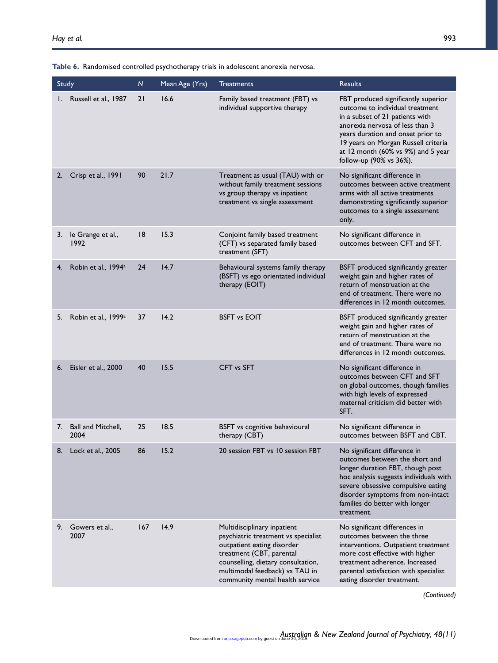| Study |                                    | N   | Mean Age (Yrs) | <b>Treatments</b>                                                                                                                                                                                                                       | <b>Results</b>                                                                                                                                                                                                                                                                            |
|-------|------------------------------------|-----|----------------|-----------------------------------------------------------------------------------------------------------------------------------------------------------------------------------------------------------------------------------------|-------------------------------------------------------------------------------------------------------------------------------------------------------------------------------------------------------------------------------------------------------------------------------------------|
| I.    | Russell et al., 1987               | 21  | 16.6           | Family based treatment (FBT) vs<br>individual supportive therapy                                                                                                                                                                        | FBT produced significantly superior<br>outcome to individual treatment<br>in a subset of 21 patients with<br>anorexia nervosa of less than 3<br>years duration and onset prior to<br>19 years on Morgan Russell criteria<br>at 12 month (60% vs 9%) and 5 year<br>follow-up (90% vs 36%). |
| 2.    | Crisp et al., 1991                 | 90  | 21.7           | Treatment as usual (TAU) with or<br>without family treatment sessions<br>vs group therapy vs inpatient<br>treatment vs single assessment                                                                                                | No significant difference in<br>outcomes between active treatment<br>arms with all active treatments<br>demonstrating significantly superior<br>outcomes to a single assessment<br>only.                                                                                                  |
|       | 3. le Grange et al.,<br>1992       | 18  | 15.3           | Conjoint family based treatment<br>(CFT) vs separated family based<br>treatment (SFT)                                                                                                                                                   | No significant difference in<br>outcomes between CFT and SFT.                                                                                                                                                                                                                             |
| 4.    | Robin et al., 1994 <sup>a</sup>    | 24  | 14.7           | Behavioural systems family therapy<br>(BSFT) vs ego orientated individual<br>therapy (EOIT)                                                                                                                                             | BSFT produced significantly greater<br>weight gain and higher rates of<br>return of menstruation at the<br>end of treatment. There were no<br>differences in 12 month outcomes.                                                                                                           |
|       | 5. Robin et al., 1999 <sup>a</sup> | 37  | 14.2           | <b>BSFT vs EOIT</b>                                                                                                                                                                                                                     | BSFT produced significantly greater<br>weight gain and higher rates of<br>return of menstruation at the<br>end of treatment. There were no<br>differences in 12 month outcomes.                                                                                                           |
| 6.    | Eisler et al., 2000                | 40  | 15.5           | CFT vs SFT                                                                                                                                                                                                                              | No significant difference in<br>outcomes between CFT and SFT<br>on global outcomes, though families<br>with high levels of expressed<br>maternal criticism did better with<br>SFT.                                                                                                        |
| 7.    | Ball and Mitchell,<br>2004         | 25  | 18.5           | BSFT vs cognitive behavioural<br>therapy (CBT)                                                                                                                                                                                          | No significant difference in<br>outcomes between BSFT and CBT.                                                                                                                                                                                                                            |
| 8.    | Lock et al., 2005                  | 86  | 15.2           | 20 session FBT vs 10 session FBT                                                                                                                                                                                                        | No significant difference in<br>outcomes between the short and<br>longer duration FBT, though post<br>hoc analysis suggests individuals with<br>severe obsessive compulsive eating<br>disorder symptoms from non-intact<br>families do better with longer<br>treatment.                   |
| 9.    | Gowers et al.,<br>2007             | 167 | 14.9           | Multidisciplinary inpatient<br>psychiatric treatment vs specialist<br>outpatient eating disorder<br>treatment (CBT, parental<br>counselling, dietary consultation,<br>multimodal feedback) vs TAU in<br>community mental health service | No significant differences in<br>outcomes between the three<br>interventions. Outpatient treatment<br>more cost effective with higher<br>treatment adherence. Increased<br>parental satisfaction with specialist<br>eating disorder treatment.                                            |

# **Table 6.** Randomised controlled psychotherapy trials in adolescent anorexia nervosa.

*(Continued)*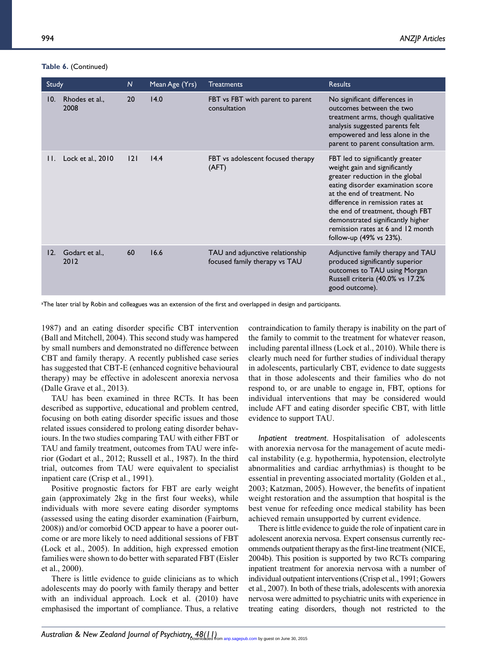| <b>Study</b> |                        | N  | Mean Age (Yrs) | <b>Treatments</b>                                                | <b>Results</b>                                                                                                                                                                                                                                                                                                                                        |
|--------------|------------------------|----|----------------|------------------------------------------------------------------|-------------------------------------------------------------------------------------------------------------------------------------------------------------------------------------------------------------------------------------------------------------------------------------------------------------------------------------------------------|
| 10.          | Rhodes et al<br>2008   | 20 | 14.0           | FBT vs FBT with parent to parent<br>consultation                 | No significant differences in<br>outcomes between the two<br>treatment arms, though qualitative<br>analysis suggested parents felt<br>empowered and less alone in the<br>parent to parent consultation arm.                                                                                                                                           |
| H.           | Lock et al., 2010      | 2  | 14.4           | FBT vs adolescent focused therapy<br>(AFT)                       | FBT led to significantly greater<br>weight gain and significantly<br>greater reduction in the global<br>eating disorder examination score<br>at the end of treatment. No<br>difference in remission rates at<br>the end of treatment, though FBT<br>demonstrated significantly higher<br>remission rates at 6 and 12 month<br>follow-up (49% vs 23%). |
| 12.          | Godart et al.,<br>2012 | 60 | 16.6           | TAU and adjunctive relationship<br>focused family therapy vs TAU | Adjunctive family therapy and TAU<br>produced significantly superior<br>outcomes to TAU using Morgan<br>Russell criteria (40.0% vs 17.2%<br>good outcome).                                                                                                                                                                                            |

#### **Table 6.** (Continued)

a The later trial by Robin and colleagues was an extension of the first and overlapped in design and participants.

1987) and an eating disorder specific CBT intervention (Ball and Mitchell, 2004). This second study was hampered by small numbers and demonstrated no difference between CBT and family therapy. A recently published case series has suggested that CBT-E (enhanced cognitive behavioural therapy) may be effective in adolescent anorexia nervosa (Dalle Grave et al., 2013).

TAU has been examined in three RCTs. It has been described as supportive, educational and problem centred, focusing on both eating disorder specific issues and those related issues considered to prolong eating disorder behaviours. In the two studies comparing TAU with either FBT or TAU and family treatment, outcomes from TAU were inferior (Godart et al., 2012; Russell et al., 1987). In the third trial, outcomes from TAU were equivalent to specialist inpatient care (Crisp et al., 1991).

Positive prognostic factors for FBT are early weight gain (approximately 2kg in the first four weeks), while individuals with more severe eating disorder symptoms (assessed using the eating disorder examination (Fairburn, 2008)) and/or comorbid OCD appear to have a poorer outcome or are more likely to need additional sessions of FBT (Lock et al., 2005). In addition, high expressed emotion families were shown to do better with separated FBT (Eisler et al., 2000).

There is little evidence to guide clinicians as to which adolescents may do poorly with family therapy and better with an individual approach. Lock et al. (2010) have emphasised the important of compliance. Thus, a relative contraindication to family therapy is inability on the part of the family to commit to the treatment for whatever reason, including parental illness (Lock et al., 2010). While there is clearly much need for further studies of individual therapy in adolescents, particularly CBT, evidence to date suggests that in those adolescents and their families who do not respond to, or are unable to engage in, FBT, options for individual interventions that may be considered would include AFT and eating disorder specific CBT, with little evidence to support TAU.

*Inpatient treatment*. Hospitalisation of adolescents with anorexia nervosa for the management of acute medical instability (e.g. hypothermia, hypotension, electrolyte abnormalities and cardiac arrhythmias) is thought to be essential in preventing associated mortality (Golden et al., 2003; Katzman, 2005). However, the benefits of inpatient weight restoration and the assumption that hospital is the best venue for refeeding once medical stability has been achieved remain unsupported by current evidence.

There is little evidence to guide the role of inpatient care in adolescent anorexia nervosa. Expert consensus currently recommends outpatient therapy as the first-line treatment (NICE, 2004b). This position is supported by two RCTs comparing inpatient treatment for anorexia nervosa with a number of individual outpatient interventions (Crisp et al., 1991; Gowers et al., 2007). In both of these trials, adolescents with anorexia nervosa were admitted to psychiatric units with experience in treating eating disorders, though not restricted to the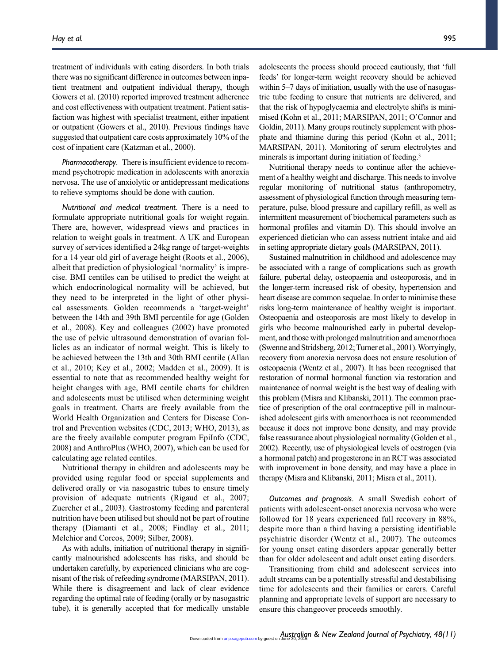treatment of individuals with eating disorders. In both trials there was no significant difference in outcomes between inpatient treatment and outpatient individual therapy, though Gowers et al. (2010) reported improved treatment adherence and cost effectiveness with outpatient treatment. Patient satisfaction was highest with specialist treatment, either inpatient or outpatient (Gowers et al., 2010). Previous findings have suggested that outpatient care costs approximately 10% of the cost of inpatient care (Katzman et al., 2000).

*Pharmacotherapy*. There is insufficient evidence to recommend psychotropic medication in adolescents with anorexia nervosa. The use of anxiolytic or antidepressant medications to relieve symptoms should be done with caution.

*Nutritional and medical treatment*. There is a need to formulate appropriate nutritional goals for weight regain. There are, however, widespread views and practices in relation to weight goals in treatment. A UK and European survey of services identified a 24kg range of target-weights for a 14 year old girl of average height (Roots et al., 2006), albeit that prediction of physiological 'normality' is imprecise. BMI centiles can be utilised to predict the weight at which endocrinological normality will be achieved, but they need to be interpreted in the light of other physical assessments. Golden recommends a 'target-weight' between the 14th and 39th BMI percentile for age (Golden et al., 2008). Key and colleagues (2002) have promoted the use of pelvic ultrasound demonstration of ovarian follicles as an indicator of normal weight. This is likely to be achieved between the 13th and 30th BMI centile (Allan et al., 2010; Key et al., 2002; Madden et al., 2009). It is essential to note that as recommended healthy weight for height changes with age, BMI centile charts for children and adolescents must be utilised when determining weight goals in treatment. Charts are freely available from the World Health Organization and Centers for Disease Control and Prevention websites (CDC, 2013; WHO, 2013), as are the freely available computer program EpiInfo (CDC, 2008) and AnthroPlus (WHO, 2007), which can be used for calculating age related centiles.

Nutritional therapy in children and adolescents may be provided using regular food or special supplements and delivered orally or via nasogastric tubes to ensure timely provision of adequate nutrients (Rigaud et al., 2007; Zuercher et al., 2003). Gastrostomy feeding and parenteral nutrition have been utilised but should not be part of routine therapy (Diamanti et al., 2008; Findlay et al., 2011; Melchior and Corcos, 2009; Silber, 2008).

As with adults, initiation of nutritional therapy in significantly malnourished adolescents has risks, and should be undertaken carefully, by experienced clinicians who are cognisant of the risk of refeeding syndrome (MARSIPAN, 2011). While there is disagreement and lack of clear evidence regarding the optimal rate of feeding (orally or by nasogastric tube), it is generally accepted that for medically unstable adolescents the process should proceed cautiously, that 'full feeds' for longer-term weight recovery should be achieved within 5–7 days of initiation, usually with the use of nasogastric tube feeding to ensure that nutrients are delivered, and that the risk of hypoglycaemia and electrolyte shifts is minimised (Kohn et al., 2011; MARSIPAN, 2011; O'Connor and Goldin, 2011). Many groups routinely supplement with phosphate and thiamine during this period (Kohn et al., 2011; MARSIPAN, 2011). Monitoring of serum electrolytes and minerals is important during initiation of feeding.<sup>3</sup>

Nutritional therapy needs to continue after the achievement of a healthy weight and discharge. This needs to involve regular monitoring of nutritional status (anthropometry, assessment of physiological function through measuring temperature, pulse, blood pressure and capillary refill, as well as intermittent measurement of biochemical parameters such as hormonal profiles and vitamin D). This should involve an experienced dietician who can assess nutrient intake and aid in setting appropriate dietary goals (MARSIPAN, 2011).

Sustained malnutrition in childhood and adolescence may be associated with a range of complications such as growth failure, pubertal delay, osteopaenia and osteoporosis, and in the longer-term increased risk of obesity, hypertension and heart disease are common sequelae. In order to minimise these risks long-term maintenance of healthy weight is important. Osteopaenia and osteoporosis are most likely to develop in girls who become malnourished early in pubertal development, and those with prolonged malnutrition and amenorrhoea (Swenne and Stridsberg, 2012; Turner et al., 2001). Worryingly, recovery from anorexia nervosa does not ensure resolution of osteopaenia (Wentz et al., 2007). It has been recognised that restoration of normal hormonal function via restoration and maintenance of normal weight is the best way of dealing with this problem (Misra and Klibanski, 2011). The common practice of prescription of the oral contraceptive pill in malnourished adolescent girls with amenorrhoea is not recommended because it does not improve bone density, and may provide false reassurance about physiological normality (Golden et al., 2002). Recently, use of physiological levels of oestrogen (via a hormonal patch) and progesterone in an RCT was associated with improvement in bone density, and may have a place in therapy (Misra and Klibanski, 2011; Misra et al., 2011).

*Outcomes and prognosis*. A small Swedish cohort of patients with adolescent-onset anorexia nervosa who were followed for 18 years experienced full recovery in 88%, despite more than a third having a persisting identifiable psychiatric disorder (Wentz et al., 2007). The outcomes for young onset eating disorders appear generally better than for older adolescent and adult onset eating disorders.

Transitioning from child and adolescent services into adult streams can be a potentially stressful and destabilising time for adolescents and their families or carers. Careful planning and appropriate levels of support are necessary to ensure this changeover proceeds smoothly.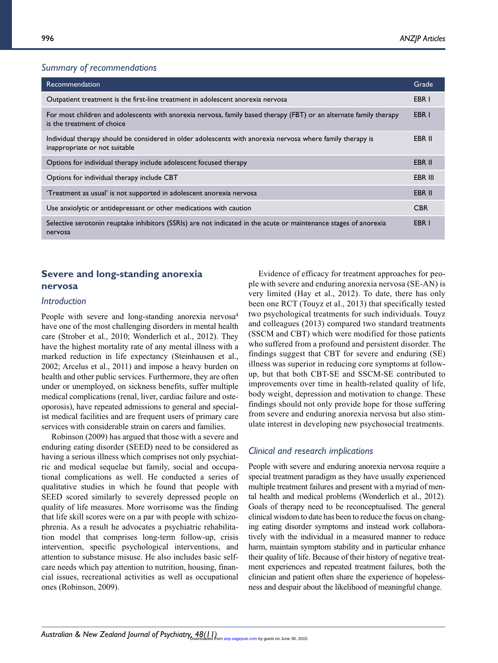# *Summary of recommendations*

| Recommendation                                                                                                                                   | Grade      |
|--------------------------------------------------------------------------------------------------------------------------------------------------|------------|
| Outpatient treatment is the first-line treatment in adolescent anorexia nervosa                                                                  | EBR I      |
| For most children and adolescents with anorexia nervosa, family based therapy (FBT) or an alternate family therapy<br>is the treatment of choice | EBR I      |
| Individual therapy should be considered in older adolescents with anorexia nervosa where family therapy is<br>inappropriate or not suitable      | EBR II     |
| Options for individual therapy include adolescent focused therapy                                                                                | EBR II     |
| Options for individual therapy include CBT                                                                                                       | EBR III    |
| 'Treatment as usual' is not supported in adolescent anorexia nervosa                                                                             | EBR II     |
| Use anxiolytic or antidepressant or other medications with caution                                                                               | <b>CBR</b> |
| Selective serotonin reuptake inhibitors (SSRIs) are not indicated in the acute or maintenance stages of anorexia<br>nervosa                      | EBR I      |

# **Severe and long-standing anorexia nervosa**

### *Introduction*

People with severe and long-standing anorexia nervosa<sup>4</sup> have one of the most challenging disorders in mental health care (Strober et al., 2010; Wonderlich et al., 2012). They have the highest mortality rate of any mental illness with a marked reduction in life expectancy (Steinhausen et al., 2002; Arcelus et al., 2011) and impose a heavy burden on health and other public services. Furthermore, they are often under or unemployed, on sickness benefits, suffer multiple medical complications (renal, liver, cardiac failure and osteoporosis), have repeated admissions to general and specialist medical facilities and are frequent users of primary care services with considerable strain on carers and families.

Robinson (2009) has argued that those with a severe and enduring eating disorder (SEED) need to be considered as having a serious illness which comprises not only psychiatric and medical sequelae but family, social and occupational complications as well. He conducted a series of qualitative studies in which he found that people with SEED scored similarly to severely depressed people on quality of life measures. More worrisome was the finding that life skill scores were on a par with people with schizophrenia. As a result he advocates a psychiatric rehabilitation model that comprises long-term follow-up, crisis intervention, specific psychological interventions, and attention to substance misuse. He also includes basic selfcare needs which pay attention to nutrition, housing, financial issues, recreational activities as well as occupational ones (Robinson, 2009).

Evidence of efficacy for treatment approaches for people with severe and enduring anorexia nervosa (SE-AN) is very limited (Hay et al., 2012). To date, there has only been one RCT (Touyz et al., 2013) that specifically tested two psychological treatments for such individuals. Touyz and colleagues (2013) compared two standard treatments (SSCM and CBT) which were modified for those patients who suffered from a profound and persistent disorder. The findings suggest that CBT for severe and enduring (SE) illness was superior in reducing core symptoms at followup, but that both CBT-SE and SSCM-SE contributed to improvements over time in health-related quality of life, body weight, depression and motivation to change. These findings should not only provide hope for those suffering from severe and enduring anorexia nervosa but also stimulate interest in developing new psychosocial treatments.

# *Clinical and research implications*

People with severe and enduring anorexia nervosa require a special treatment paradigm as they have usually experienced multiple treatment failures and present with a myriad of mental health and medical problems (Wonderlich et al., 2012). Goals of therapy need to be reconceptualised. The general clinical wisdom to date has been to reduce the focus on changing eating disorder symptoms and instead work collaboratively with the individual in a measured manner to reduce harm, maintain symptom stability and in particular enhance their quality of life. Because of their history of negative treatment experiences and repeated treatment failures, both the clinician and patient often share the experience of hopelessness and despair about the likelihood of meaningful change.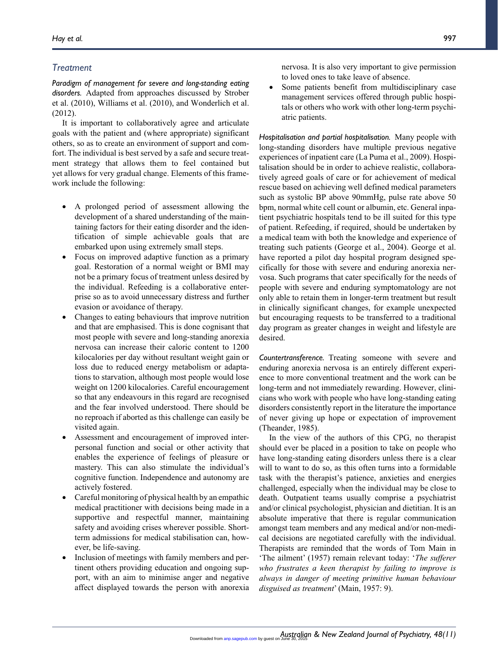# *Treatment*

*Paradigm of management for severe and long-standing eating disorders.* Adapted from approaches discussed by Strober et al. (2010), Williams et al. (2010), and Wonderlich et al. (2012).

It is important to collaboratively agree and articulate goals with the patient and (where appropriate) significant others, so as to create an environment of support and comfort. The individual is best served by a safe and secure treatment strategy that allows them to feel contained but yet allows for very gradual change. Elements of this framework include the following:

- A prolonged period of assessment allowing the development of a shared understanding of the maintaining factors for their eating disorder and the identification of simple achievable goals that are embarked upon using extremely small steps.
- Focus on improved adaptive function as a primary goal. Restoration of a normal weight or BMI may not be a primary focus of treatment unless desired by the individual. Refeeding is a collaborative enterprise so as to avoid unnecessary distress and further evasion or avoidance of therapy.
- Changes to eating behaviours that improve nutrition and that are emphasised. This is done cognisant that most people with severe and long-standing anorexia nervosa can increase their caloric content to 1200 kilocalories per day without resultant weight gain or loss due to reduced energy metabolism or adaptations to starvation, although most people would lose weight on 1200 kilocalories. Careful encouragement so that any endeavours in this regard are recognised and the fear involved understood. There should be no reproach if aborted as this challenge can easily be visited again.
- Assessment and encouragement of improved interpersonal function and social or other activity that enables the experience of feelings of pleasure or mastery. This can also stimulate the individual's cognitive function. Independence and autonomy are actively fostered.
- Careful monitoring of physical health by an empathic medical practitioner with decisions being made in a supportive and respectful manner, maintaining safety and avoiding crises wherever possible. Shortterm admissions for medical stabilisation can, however, be life-saving.
- Inclusion of meetings with family members and pertinent others providing education and ongoing support, with an aim to minimise anger and negative affect displayed towards the person with anorexia

nervosa. It is also very important to give permission to loved ones to take leave of absence.

Some patients benefit from multidisciplinary case management services offered through public hospitals or others who work with other long-term psychiatric patients.

*Hospitalisation and partial hospitalisation.* Many people with long-standing disorders have multiple previous negative experiences of inpatient care (La Puma et al., 2009). Hospitalisation should be in order to achieve realistic, collaboratively agreed goals of care or for achievement of medical rescue based on achieving well defined medical parameters such as systolic BP above 90mmHg, pulse rate above 50 bpm, normal white cell count or albumin, etc. General inpatient psychiatric hospitals tend to be ill suited for this type of patient. Refeeding, if required, should be undertaken by a medical team with both the knowledge and experience of treating such patients (George et al., 2004). George et al. have reported a pilot day hospital program designed specifically for those with severe and enduring anorexia nervosa. Such programs that cater specifically for the needs of people with severe and enduring symptomatology are not only able to retain them in longer-term treatment but result in clinically significant changes, for example unexpected but encouraging requests to be transferred to a traditional day program as greater changes in weight and lifestyle are desired.

*Countertransference.* Treating someone with severe and enduring anorexia nervosa is an entirely different experience to more conventional treatment and the work can be long-term and not immediately rewarding. However, clinicians who work with people who have long-standing eating disorders consistently report in the literature the importance of never giving up hope or expectation of improvement (Theander, 1985).

In the view of the authors of this CPG, no therapist should ever be placed in a position to take on people who have long-standing eating disorders unless there is a clear will to want to do so, as this often turns into a formidable task with the therapist's patience, anxieties and energies challenged, especially when the individual may be close to death. Outpatient teams usually comprise a psychiatrist and/or clinical psychologist, physician and dietitian. It is an absolute imperative that there is regular communication amongst team members and any medical and/or non-medical decisions are negotiated carefully with the individual. Therapists are reminded that the words of Tom Main in 'The ailment' (1957) remain relevant today: '*The sufferer who frustrates a keen therapist by failing to improve is always in danger of meeting primitive human behaviour disguised as treatment*' (Main, 1957: 9).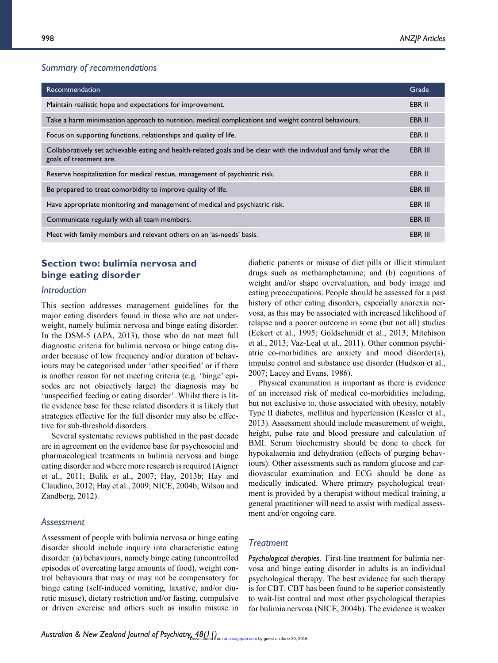# *Summary of recommendations*

| Recommendation                                                                                                                                 | Grade          |
|------------------------------------------------------------------------------------------------------------------------------------------------|----------------|
| Maintain realistic hope and expectations for improvement.                                                                                      | EBR II         |
| Take a harm minimisation approach to nutrition, medical complications and weight control behaviours.                                           | EBR II         |
| Focus on supporting functions, relationships and quality of life.                                                                              | EBR II         |
| Collaboratively set achievable eating and health-related goals and be clear with the individual and family what the<br>goals of treatment are. | <b>EBR III</b> |
| Reserve hospitalisation for medical rescue, management of psychiatric risk.                                                                    | EBR II         |
| Be prepared to treat comorbidity to improve quality of life.                                                                                   | <b>EBR III</b> |
| Have appropriate monitoring and management of medical and psychiatric risk.                                                                    | EBR III        |
| Communicate regularly with all team members.                                                                                                   | <b>EBR III</b> |
| Meet with family members and relevant others on an 'as-needs' basis.                                                                           | EBR III        |

# **Section two: bulimia nervosa and binge eating disorder**

### *Introduction*

This section addresses management guidelines for the major eating disorders found in those who are not underweight, namely bulimia nervosa and binge eating disorder. In the DSM-5 (APA, 2013), those who do not meet full diagnostic criteria for bulimia nervosa or binge eating disorder because of low frequency and/or duration of behaviours may be categorised under 'other specified' or if there is another reason for not meeting criteria (e.g. 'binge' episodes are not objectively large) the diagnosis may be 'unspecified feeding or eating disorder'. Whilst there is little evidence base for these related disorders it is likely that strategies effective for the full disorder may also be effective for sub-threshold disorders.

Several systematic reviews published in the past decade are in agreement on the evidence base for psychosocial and pharmacological treatments in bulimia nervosa and binge eating disorder and where more research is required (Aigner et al., 2011; Bulik et al., 2007; Hay, 2013b; Hay and Claudino, 2012; Hay et al., 2009; NICE, 2004b; Wilson and Zandberg, 2012).

# *Assessment*

Assessment of people with bulimia nervosa or binge eating disorder should include inquiry into characteristic eating disorder: (a) behaviours, namely binge eating (uncontrolled episodes of overeating large amounts of food), weight control behaviours that may or may not be compensatory for binge eating (self-induced vomiting, laxative, and/or diuretic misuse), dietary restriction and/or fasting, compulsive or driven exercise and others such as insulin misuse in diabetic patients or misuse of diet pills or illicit stimulant drugs such as methamphetamine; and (b) cognitions of weight and/or shape overvaluation, and body image and eating preoccupations. People should be assessed for a past history of other eating disorders, especially anorexia nervosa, as this may be associated with increased likelihood of relapse and a poorer outcome in some (but not all) studies (Eckert et al., 1995; Goldschmidt et al., 2013; Mitchison et al., 2013; Vaz-Leal et al., 2011). Other common psychiatric co-morbidities are anxiety and mood disorder(s), impulse control and substance use disorder (Hudson et al., 2007; Lacey and Evans, 1986).

Physical examination is important as there is evidence of an increased risk of medical co-morbidities including, but not exclusive to, those associated with obesity, notably Type II diabetes, mellitus and hypertension (Kessler et al., 2013). Assessment should include measurement of weight, height, pulse rate and blood pressure and calculation of BMI. Serum biochemistry should be done to check for hypokalaemia and dehydration (effects of purging behaviours). Other assessments such as random glucose and cardiovascular examination and ECG should be done as medically indicated. Where primary psychological treatment is provided by a therapist without medical training, a general practitioner will need to assist with medical assessment and/or ongoing care.

# *Treatment*

*Psychological therapies.* First-line treatment for bulimia nervosa and binge eating disorder in adults is an individual psychological therapy. The best evidence for such therapy is for CBT. CBT has been found to be superior consistently to wait-list control and most other psychological therapies for bulimia nervosa (NICE, 2004b). The evidence is weaker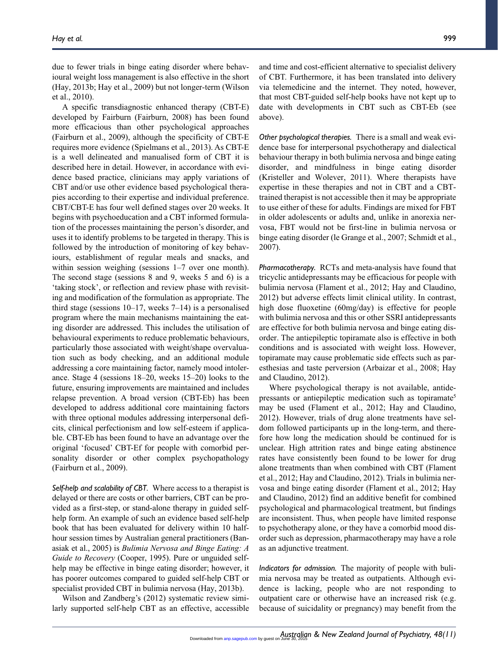due to fewer trials in binge eating disorder where behavioural weight loss management is also effective in the short (Hay, 2013b; Hay et al., 2009) but not longer-term (Wilson et al., 2010).

A specific transdiagnostic enhanced therapy (CBT-E) developed by Fairburn (Fairburn, 2008) has been found more efficacious than other psychological approaches (Fairburn et al., 2009), although the specificity of CBT-E requires more evidence (Spielmans et al., 2013). As CBT-E is a well delineated and manualised form of CBT it is described here in detail. However, in accordance with evidence based practice, clinicians may apply variations of CBT and/or use other evidence based psychological therapies according to their expertise and individual preference. CBT/CBT-E has four well defined stages over 20 weeks. It begins with psychoeducation and a CBT informed formulation of the processes maintaining the person's disorder, and uses it to identify problems to be targeted in therapy. This is followed by the introduction of monitoring of key behaviours, establishment of regular meals and snacks, and within session weighing (sessions 1–7 over one month). The second stage (sessions 8 and 9, weeks 5 and 6) is a 'taking stock', or reflection and review phase with revisiting and modification of the formulation as appropriate. The third stage (sessions  $10-17$ , weeks  $7-14$ ) is a personalised program where the main mechanisms maintaining the eating disorder are addressed. This includes the utilisation of behavioural experiments to reduce problematic behaviours, particularly those associated with weight/shape overvaluation such as body checking, and an additional module addressing a core maintaining factor, namely mood intolerance. Stage 4 (sessions 18–20, weeks 15–20) looks to the future, ensuring improvements are maintained and includes relapse prevention. A broad version (CBT-Eb) has been developed to address additional core maintaining factors with three optional modules addressing interpersonal deficits, clinical perfectionism and low self-esteem if applicable. CBT-Eb has been found to have an advantage over the original 'focused' CBT-Ef for people with comorbid personality disorder or other complex psychopathology (Fairburn et al., 2009).

*Self-help and scalability of CBT.* Where access to a therapist is delayed or there are costs or other barriers, CBT can be provided as a first-step, or stand-alone therapy in guided selfhelp form. An example of such an evidence based self-help book that has been evaluated for delivery within 10 halfhour session times by Australian general practitioners (Banasiak et al., 2005) is *Bulimia Nervosa and Binge Eating: A Guide to Recovery* (Cooper, 1995). Pure or unguided selfhelp may be effective in binge eating disorder; however, it has poorer outcomes compared to guided self-help CBT or specialist provided CBT in bulimia nervosa (Hay, 2013b).

Wilson and Zandberg's (2012) systematic review similarly supported self-help CBT as an effective, accessible and time and cost-efficient alternative to specialist delivery of CBT. Furthermore, it has been translated into delivery via telemedicine and the internet. They noted, however, that most CBT-guided self-help books have not kept up to date with developments in CBT such as CBT-Eb (see above).

*Other psychological therapies.* There is a small and weak evidence base for interpersonal psychotherapy and dialectical behaviour therapy in both bulimia nervosa and binge eating disorder, and mindfulness in binge eating disorder (Kristeller and Wolever, 2011). Where therapists have expertise in these therapies and not in CBT and a CBTtrained therapist is not accessible then it may be appropriate to use either of these for adults. Findings are mixed for FBT in older adolescents or adults and, unlike in anorexia nervosa, FBT would not be first-line in bulimia nervosa or binge eating disorder (le Grange et al., 2007; Schmidt et al., 2007).

*Pharmacotherapy.* RCTs and meta-analysis have found that tricyclic antidepressants may be efficacious for people with bulimia nervosa (Flament et al., 2012; Hay and Claudino, 2012) but adverse effects limit clinical utility. In contrast, high dose fluoxetine (60mg/day) is effective for people with bulimia nervosa and this or other SSRI antidepressants are effective for both bulimia nervosa and binge eating disorder. The antiepileptic topiramate also is effective in both conditions and is associated with weight loss. However, topiramate may cause problematic side effects such as paresthesias and taste perversion (Arbaizar et al., 2008; Hay and Claudino, 2012).

Where psychological therapy is not available, antidepressants or antiepileptic medication such as topiramate<sup>5</sup> may be used (Flament et al., 2012; Hay and Claudino, 2012). However, trials of drug alone treatments have seldom followed participants up in the long-term, and therefore how long the medication should be continued for is unclear. High attrition rates and binge eating abstinence rates have consistently been found to be lower for drug alone treatments than when combined with CBT (Flament et al., 2012; Hay and Claudino, 2012). Trials in bulimia nervosa and binge eating disorder (Flament et al., 2012; Hay and Claudino, 2012) find an additive benefit for combined psychological and pharmacological treatment, but findings are inconsistent. Thus, when people have limited response to psychotherapy alone, or they have a comorbid mood disorder such as depression, pharmacotherapy may have a role as an adjunctive treatment.

*Indicators for admission.* The majority of people with bulimia nervosa may be treated as outpatients. Although evidence is lacking, people who are not responding to outpatient care or otherwise have an increased risk (e.g. because of suicidality or pregnancy) may benefit from the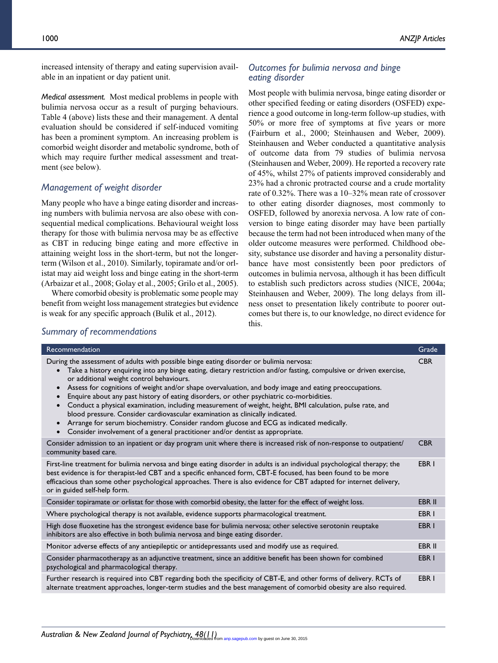increased intensity of therapy and eating supervision available in an inpatient or day patient unit.

*Medical assessment.* Most medical problems in people with bulimia nervosa occur as a result of purging behaviours. Table 4 (above) lists these and their management. A dental evaluation should be considered if self-induced vomiting has been a prominent symptom. An increasing problem is comorbid weight disorder and metabolic syndrome, both of which may require further medical assessment and treatment (see below).

### *Management of weight disorder*

Many people who have a binge eating disorder and increasing numbers with bulimia nervosa are also obese with consequential medical complications. Behavioural weight loss therapy for those with bulimia nervosa may be as effective as CBT in reducing binge eating and more effective in attaining weight loss in the short-term, but not the longerterm (Wilson et al., 2010). Similarly, topiramate and/or orlistat may aid weight loss and binge eating in the short-term (Arbaizar et al., 2008; Golay et al., 2005; Grilo et al., 2005).

Where comorbid obesity is problematic some people may benefit from weight loss management strategies but evidence is weak for any specific approach (Bulik et al., 2012).

# *Outcomes for bulimia nervosa and binge eating disorder*

Most people with bulimia nervosa, binge eating disorder or other specified feeding or eating disorders (OSFED) experience a good outcome in long-term follow-up studies, with 50% or more free of symptoms at five years or more (Fairburn et al., 2000; Steinhausen and Weber, 2009). Steinhausen and Weber conducted a quantitative analysis of outcome data from 79 studies of bulimia nervosa (Steinhausen and Weber, 2009). He reported a recovery rate of 45%, whilst 27% of patients improved considerably and 23% had a chronic protracted course and a crude mortality rate of 0.32%. There was a 10–32% mean rate of crossover to other eating disorder diagnoses, most commonly to OSFED, followed by anorexia nervosa. A low rate of conversion to binge eating disorder may have been partially because the term had not been introduced when many of the older outcome measures were performed. Childhood obesity, substance use disorder and having a personality disturbance have most consistently been poor predictors of outcomes in bulimia nervosa, although it has been difficult to establish such predictors across studies (NICE, 2004a; Steinhausen and Weber, 2009). The long delays from illness onset to presentation likely contribute to poorer outcomes but there is, to our knowledge, no direct evidence for this.

| Recommendation                                                                                                                                                                                                                                                                                                                                                                                                                                                                                                                                                                                                                                                                                                                                                                                                                                                                 | Grade      |  |
|--------------------------------------------------------------------------------------------------------------------------------------------------------------------------------------------------------------------------------------------------------------------------------------------------------------------------------------------------------------------------------------------------------------------------------------------------------------------------------------------------------------------------------------------------------------------------------------------------------------------------------------------------------------------------------------------------------------------------------------------------------------------------------------------------------------------------------------------------------------------------------|------------|--|
| During the assessment of adults with possible binge eating disorder or bulimia nervosa:<br>Take a history enquiring into any binge eating, dietary restriction and/or fasting, compulsive or driven exercise,<br>or additional weight control behaviours.<br>Assess for cognitions of weight and/or shape overvaluation, and body image and eating preoccupations.<br>$\bullet$<br>Enquire about any past history of eating disorders, or other psychiatric co-morbidities.<br>Conduct a physical examination, including measurement of weight, height, BMI calculation, pulse rate, and<br>blood pressure. Consider cardiovascular examination as clinically indicated.<br>Arrange for serum biochemistry. Consider random glucose and ECG as indicated medically.<br>$\bullet$<br>Consider involvement of a general practitioner and/or dentist as appropriate.<br>$\bullet$ | <b>CBR</b> |  |
| Consider admission to an inpatient or day program unit where there is increased risk of non-response to outpatient/<br>community based care.                                                                                                                                                                                                                                                                                                                                                                                                                                                                                                                                                                                                                                                                                                                                   | <b>CBR</b> |  |
| First-line treatment for bulimia nervosa and binge eating disorder in adults is an individual psychological therapy; the<br>best evidence is for therapist-led CBT and a specific enhanced form, CBT-E focused, has been found to be more<br>efficacious than some other psychological approaches. There is also evidence for CBT adapted for internet delivery,<br>or in guided self-help form.                                                                                                                                                                                                                                                                                                                                                                                                                                                                               |            |  |
| Consider topiramate or orlistat for those with comorbid obesity, the latter for the effect of weight loss.                                                                                                                                                                                                                                                                                                                                                                                                                                                                                                                                                                                                                                                                                                                                                                     | EBR II     |  |
| Where psychological therapy is not available, evidence supports pharmacological treatment.                                                                                                                                                                                                                                                                                                                                                                                                                                                                                                                                                                                                                                                                                                                                                                                     | EBR I      |  |
| High dose fluoxetine has the strongest evidence base for bulimia nervosa; other selective serotonin reuptake<br>inhibitors are also effective in both bulimia nervosa and binge eating disorder.                                                                                                                                                                                                                                                                                                                                                                                                                                                                                                                                                                                                                                                                               |            |  |
| Monitor adverse effects of any antiepileptic or antidepressants used and modify use as required.                                                                                                                                                                                                                                                                                                                                                                                                                                                                                                                                                                                                                                                                                                                                                                               |            |  |
| Consider pharmacotherapy as an adjunctive treatment, since an additive benefit has been shown for combined<br>psychological and pharmacological therapy.                                                                                                                                                                                                                                                                                                                                                                                                                                                                                                                                                                                                                                                                                                                       | EBR I      |  |
| Further research is required into CBT regarding both the specificity of CBT-E, and other forms of delivery. RCTs of<br>alternate treatment approaches, longer-term studies and the best management of comorbid obesity are also required.                                                                                                                                                                                                                                                                                                                                                                                                                                                                                                                                                                                                                                      | EBR I      |  |

### *Summary of recommendations*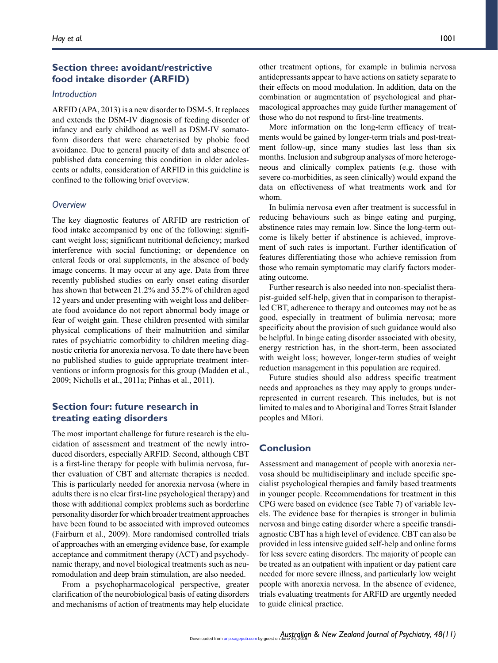# **Section three: avoidant/restrictive food intake disorder (ARFID)**

### *Introduction*

ARFID (APA, 2013) is a new disorder to DSM-5. It replaces and extends the DSM-IV diagnosis of feeding disorder of infancy and early childhood as well as DSM-IV somatoform disorders that were characterised by phobic food avoidance. Due to general paucity of data and absence of published data concerning this condition in older adolescents or adults, consideration of ARFID in this guideline is confined to the following brief overview.

#### *Overview*

The key diagnostic features of ARFID are restriction of food intake accompanied by one of the following: significant weight loss; significant nutritional deficiency; marked interference with social functioning; or dependence on enteral feeds or oral supplements, in the absence of body image concerns. It may occur at any age. Data from three recently published studies on early onset eating disorder has shown that between 21.2% and 35.2% of children aged 12 years and under presenting with weight loss and deliberate food avoidance do not report abnormal body image or fear of weight gain. These children presented with similar physical complications of their malnutrition and similar rates of psychiatric comorbidity to children meeting diagnostic criteria for anorexia nervosa. To date there have been no published studies to guide appropriate treatment interventions or inform prognosis for this group (Madden et al., 2009; Nicholls et al., 2011a; Pinhas et al., 2011).

# **Section four: future research in treating eating disorders**

The most important challenge for future research is the elucidation of assessment and treatment of the newly introduced disorders, especially ARFID. Second, although CBT is a first-line therapy for people with bulimia nervosa, further evaluation of CBT and alternate therapies is needed. This is particularly needed for anorexia nervosa (where in adults there is no clear first-line psychological therapy) and those with additional complex problems such as borderline personality disorder for which broader treatment approaches have been found to be associated with improved outcomes (Fairburn et al., 2009). More randomised controlled trials of approaches with an emerging evidence base, for example acceptance and commitment therapy (ACT) and psychodynamic therapy, and novel biological treatments such as neuromodulation and deep brain stimulation, are also needed.

From a psychopharmacological perspective, greater clarification of the neurobiological basis of eating disorders and mechanisms of action of treatments may help elucidate

other treatment options, for example in bulimia nervosa antidepressants appear to have actions on satiety separate to their effects on mood modulation. In addition, data on the combination or augmentation of psychological and pharmacological approaches may guide further management of those who do not respond to first-line treatments.

More information on the long-term efficacy of treatments would be gained by longer-term trials and post-treatment follow-up, since many studies last less than six months. Inclusion and subgroup analyses of more heterogeneous and clinically complex patients (e.g. those with severe co-morbidities, as seen clinically) would expand the data on effectiveness of what treatments work and for whom.

In bulimia nervosa even after treatment is successful in reducing behaviours such as binge eating and purging, abstinence rates may remain low. Since the long-term outcome is likely better if abstinence is achieved, improvement of such rates is important. Further identification of features differentiating those who achieve remission from those who remain symptomatic may clarify factors moderating outcome.

Further research is also needed into non-specialist therapist-guided self-help, given that in comparison to therapistled CBT, adherence to therapy and outcomes may not be as good, especially in treatment of bulimia nervosa; more specificity about the provision of such guidance would also be helpful. In binge eating disorder associated with obesity, energy restriction has, in the short-term, been associated with weight loss; however, longer-term studies of weight reduction management in this population are required.

Future studies should also address specific treatment needs and approaches as they may apply to groups underrepresented in current research. This includes, but is not limited to males and to Aboriginal and Torres Strait Islander peoples and Māori.

# **Conclusion**

Assessment and management of people with anorexia nervosa should be multidisciplinary and include specific specialist psychological therapies and family based treatments in younger people. Recommendations for treatment in this CPG were based on evidence (see Table 7) of variable levels. The evidence base for therapies is stronger in bulimia nervosa and binge eating disorder where a specific transdiagnostic CBT has a high level of evidence. CBT can also be provided in less intensive guided self-help and online forms for less severe eating disorders. The majority of people can be treated as an outpatient with inpatient or day patient care needed for more severe illness, and particularly low weight people with anorexia nervosa. In the absence of evidence, trials evaluating treatments for ARFID are urgently needed to guide clinical practice.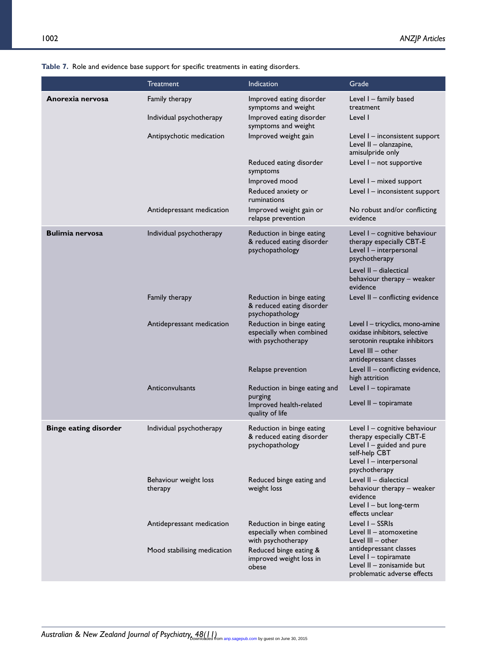|                              | Treatment                        | Indication                                                                  | Grade                                                                                                                                               |
|------------------------------|----------------------------------|-----------------------------------------------------------------------------|-----------------------------------------------------------------------------------------------------------------------------------------------------|
| Anorexia nervosa             | Family therapy                   | Improved eating disorder<br>symptoms and weight                             | Level I - family based<br>treatment                                                                                                                 |
|                              | Individual psychotherapy         | Improved eating disorder<br>symptoms and weight                             | Level I                                                                                                                                             |
|                              | Antipsychotic medication         | Improved weight gain                                                        | Level I - inconsistent support<br>Level II - olanzapine,<br>amisulpride only                                                                        |
|                              |                                  | Reduced eating disorder<br>symptoms                                         | Level I - not supportive                                                                                                                            |
|                              |                                  | Improved mood                                                               | Level I - mixed support                                                                                                                             |
|                              |                                  | Reduced anxiety or<br>ruminations                                           | Level I - inconsistent support                                                                                                                      |
|                              | Antidepressant medication        | Improved weight gain or<br>relapse prevention                               | No robust and/or conflicting<br>evidence                                                                                                            |
| <b>Bulimia nervosa</b>       | Individual psychotherapy         | Reduction in binge eating<br>& reduced eating disorder<br>psychopathology   | Level I - cognitive behaviour<br>therapy especially CBT-E<br>Level I - interpersonal<br>psychotherapy                                               |
|                              |                                  |                                                                             | Level II - dialectical<br>behaviour therapy - weaker<br>evidence                                                                                    |
|                              | Family therapy                   | Reduction in binge eating<br>& reduced eating disorder<br>psychopathology   | Level II - conflicting evidence                                                                                                                     |
|                              | Antidepressant medication        | Reduction in binge eating<br>especially when combined<br>with psychotherapy | Level I - tricyclics, mono-amine<br>oxidase inhibitors, selective<br>serotonin reuptake inhibitors<br>Level III - other                             |
|                              |                                  | Relapse prevention                                                          | antidepressant classes<br>Level II - conflicting evidence,<br>high attrition                                                                        |
|                              | Anticonvulsants                  | Reduction in binge eating and<br>purging                                    | Level I - topiramate                                                                                                                                |
|                              |                                  | Improved health-related<br>quality of life                                  | Level II - topiramate                                                                                                                               |
| <b>Binge eating disorder</b> | Individual psychotherapy         | Reduction in binge eating<br>& reduced eating disorder<br>psychopathology   | Level I - cognitive behaviour<br>therapy especially CBT-E<br>Level I - guided and pure<br>self-help CBT<br>Level I - interpersonal<br>psychotherapy |
|                              | Behaviour weight loss<br>therapy | Reduced binge eating and<br>weight loss                                     | Level II - dialectical<br>behaviour therapy - weaker<br>evidence<br>Level I - but long-term<br>effects unclear                                      |
|                              | Antidepressant medication        | Reduction in binge eating<br>especially when combined<br>with psychotherapy | Level I - SSRIs<br>Level II - atomoxetine<br>Level III - other                                                                                      |
|                              | Mood stabilising medication      | Reduced binge eating &<br>improved weight loss in<br>obese                  | antidepressant classes<br>Level I - topiramate<br>Level II - zonisamide but<br>problematic adverse effects                                          |

# **Table 7.** Role and evidence base support for specific treatments in eating disorders.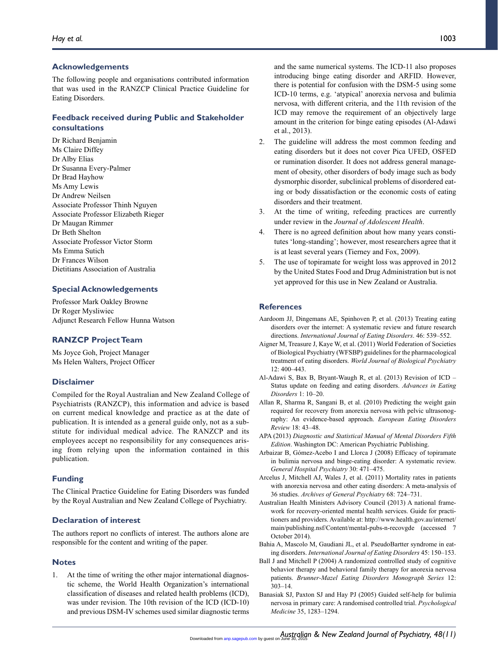#### **Acknowledgements**

The following people and organisations contributed information that was used in the RANZCP Clinical Practice Guideline for Eating Disorders.

### **Feedback received during Public and Stakeholder consultations**

Dr Richard Benjamin Ms Claire Diffey Dr Alby Elias Dr Susanna Every-Palmer Dr Brad Hayhow Ms Amy Lewis Dr Andrew Neilsen Associate Professor Thinh Nguyen Associate Professor Elizabeth Rieger Dr Maugan Rimmer Dr Beth Shelton Associate Professor Victor Storm Ms Emma Sutich Dr Frances Wilson Dietitians Association of Australia

#### **Special Acknowledgements**

Professor Mark Oakley Browne Dr Roger Mysliwiec Adjunct Research Fellow Hunna Watson

#### **RANZCP Project Team**

Ms Joyce Goh, Project Manager Ms Helen Walters, Project Officer

#### **Disclaimer**

Compiled for the Royal Australian and New Zealand College of Psychiatrists (RANZCP), this information and advice is based on current medical knowledge and practice as at the date of publication. It is intended as a general guide only, not as a substitute for individual medical advice. The RANZCP and its employees accept no responsibility for any consequences arising from relying upon the information contained in this publication.

### **Funding**

The Clinical Practice Guideline for Eating Disorders was funded by the Royal Australian and New Zealand College of Psychiatry.

#### **Declaration of interest**

The authors report no conflicts of interest. The authors alone are responsible for the content and writing of the paper.

#### **Notes**

1. At the time of writing the other major international diagnostic scheme, the World Health Organization's international classification of diseases and related health problems (ICD), was under revision. The 10th revision of the ICD (ICD-10) and previous DSM-IV schemes used similar diagnostic terms

and the same numerical systems. The ICD-11 also proposes introducing binge eating disorder and ARFID. However, there is potential for confusion with the DSM-5 using some ICD-10 terms, e.g. 'atypical' anorexia nervosa and bulimia nervosa, with different criteria, and the 11th revision of the ICD may remove the requirement of an objectively large amount in the criterion for binge eating episodes (Al-Adawi et al., 2013).

- 2. The guideline will address the most common feeding and eating disorders but it does not cover Pica UFED, OSFED or rumination disorder. It does not address general management of obesity, other disorders of body image such as body dysmorphic disorder, subclinical problems of disordered eating or body dissatisfaction or the economic costs of eating disorders and their treatment.
- 3. At the time of writing, refeeding practices are currently under review in the *Journal of Adolescent Health*.
- 4. There is no agreed definition about how many years constitutes 'long-standing'; however, most researchers agree that it is at least several years (Tierney and Fox, 2009).
- 5. The use of topiramate for weight loss was approved in 2012 by the United States Food and Drug Administration but is not yet approved for this use in New Zealand or Australia.

#### **References**

- Aardoom JJ, Dingemans AE, Spinhoven P, et al. (2013) Treating eating disorders over the internet: A systematic review and future research directions. *International Journal of Eating Disorders*. 46: 539–552.
- Aigner M, Treasure J, Kaye W, et al. (2011) World Federation of Societies of Biological Psychiatry (WFSBP) guidelines for the pharmacological treatment of eating disorders. *World Journal of Biological Psychiatry* 12: 400–443.
- Al-Adawi S, Bax B, Bryant-Waugh R, et al. (2013) Revision of ICD Status update on feeding and eating disorders. *Advances in Eating Disorders* 1: 10–20.
- Allan R, Sharma R, Sangani B, et al. (2010) Predicting the weight gain required for recovery from anorexia nervosa with pelvic ultrasonography: An evidence-based approach. *European Eating Disorders Review* 18: 43–48.
- APA (2013) *Diagnostic and Statistical Manual of Mental Disorders Fifth Edition*. Washington DC: American Psychiatric Publishing.
- Arbaizar B, Gómez-Acebo I and Llorca J (2008) Efficacy of topiramate in bulimia nervosa and binge-eating disorder: A systematic review. *General Hospital Psychiatry* 30: 471–475.
- Arcelus J, Mitchell AJ, Wales J, et al. (2011) Mortality rates in patients with anorexia nervosa and other eating disorders: A meta-analysis of 36 studies. *Archives of General Psychiatry* 68: 724–731.
- Australian Health Ministers Advisory Council (2013) A national framework for recovery-oriented mental health services. Guide for practitioners and providers. Available at: http://www.health.gov.au/internet/ [main/publishing.nsf/Content/mental-pubs-n-recovgde \(accessed 7](http://www.health.gov.au/internet/main/publishing.nsf/Content/mental-pubs-n-recovgde)  October 2014).
- Bahia A, Mascolo M, Gaudiani JL, et al. PseudoBartter syndrome in eating disorders. *International Journal of Eating Disorders* 45: 150–153.
- Ball J and Mitchell P (2004) A randomized controlled study of cognitive behavior therapy and behavioral family therapy for anorexia nervosa patients. *Brunner-Mazel Eating Disorders Monograph Series* 12: 303–14.
- Banasiak SJ, Paxton SJ and Hay PJ (2005) Guided self-help for bulimia nervosa in primary care: A randomised controlled trial. *Psychological Medicine* 35, 1283–1294.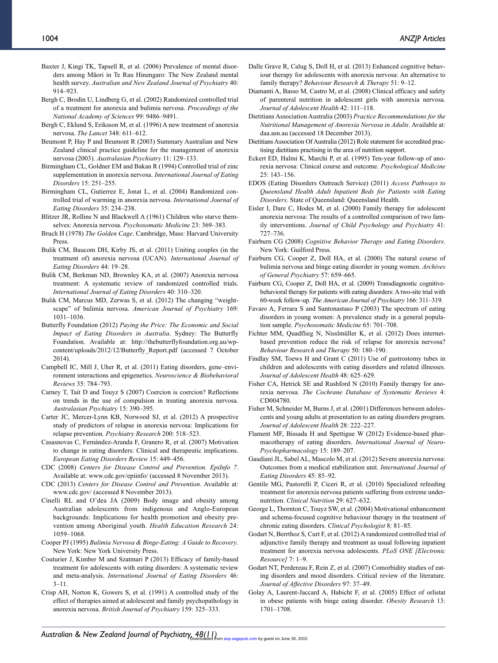- Baxter J, Kingi TK, Tapsell R, et al. (2006) Prevalence of mental disorders among Māori in Te Rau Hinengaro: The New Zealand mental health survey. *Australian and New Zealand Journal of Psychiatry* 40: 914–923.
- Bergh C, Brodin U, Lindberg G, et al. (2002) Randomized controlled trial of a treatment for anorexia and bulimia nervosa. *Proceedings of the National Academy of Sciences* 99: 9486–9491.
- Bergh C, Eklund S, Eriksson M, et al. (1996) A new treatment of anorexia nervosa. *The Lancet* 348: 611–612.
- Beumont P, Hay P and Beumont R (2003) Summary Australian and New Zealand clinical practice guideline for the management of anorexia nervosa (2003). *Australasian Psychiatry* 11: 129–133.
- Birmingham CL, Goldner EM and Bakan R (1994) Controlled trial of zinc supplementation in anorexia nervosa. *International Journal of Eating Disorders* 15: 251–255.
- Birmingham CL, Gutierrez E, Jonat L, et al. (2004) Randomized controlled trial of warming in anorexia nervosa. *International Journal of Eating Disorders* 35: 234–238.
- Blitzer JR, Rollins N and Blackwell A (1961) Children who starve themselves: Anorexia nervosa. *Psychosomatic Medicine* 23: 369–383.
- Bruch H (1978) *The Golden Cage*. Cambridge, Mass: Harvard University Press.
- Bulik CM, Baucom DH, Kirby JS, et al. (2011) Uniting couples (in the treatment of) anorexia nervosa (UCAN). *International Journal of Eating Disorders* 44: 19–28.
- Bulik CM, Berkman ND, Brownley KA, et al. (2007) Anorexia nervosa treatment: A systematic review of randomized controlled trials. *International Journal of Eating Disorders* 40: 310–320.
- Bulik CM, Marcus MD, Zerwas S, et al. (2012) The changing "weightscape" of bulimia nervosa. *American Journal of Psychiatry* 169: 1031–1036.
- Butterfly Foundation (2012) *Paying the Price: The Economic and Social Impact of Eating Disorders in Australia*. Sydney: The Butterfly Foundation. Available at: http://thebutterflyfoundation.org.au/wpcontent/uploads/2012/12/Butterfly\_Report.pdf (accessed 7 October 2014).
- Campbell IC, Mill J, Uher R, et al. (2011) Eating disorders, gene–environment interactions and epigenetics. *Neuroscience & Biobehavioral Reviews* 35: 784–793.
- Carney T, Tait D and Touyz S (2007) Coercion is coercion? Reflections on trends in the use of compulsion in treating anorexia nervosa. *Australasian Psychiatry* 15: 390–395.
- Carter JC, Mercer-Lynn KB, Norwood SJ, et al. (2012) A prospective study of predictors of relapse in anorexia nervosa: Implications for relapse prevention. *Psychiatry Research* 200: 518–523.
- Casasnovas C, Fernández-Aranda F, Granero R, et al. (2007) Motivation to change in eating disorders: Clinical and therapeutic implications. *European Eating Disorders Review* 15: 449–456.
- CDC (2008) *Centers for Disease Control and Prevention. EpiInfo 7*. Available at: www.cdc.gov/epiinfo/ (accessed 8 November 2013).
- CDC (2013) *Centers for Disease Control and Prevention*. Available at: www.cdc.gov/ (accessed 8 November 2013).
- Cinelli RL and O'dea JA (2009) Body image and obesity among Australian adolescents from indigenous and Anglo-European backgrounds: Implications for health promotion and obesity prevention among Aboriginal youth. *Health Education Research* 24: 1059–1068.
- Cooper PJ (1995) *Bulimia Nervosa & Binge-Eating: A Guide to Recovery*. New York: New York University Press.
- Couturier J, Kimber M and Szatmari P (2013) Efficacy of family-based treatment for adolescents with eating disorders: A systematic review and meta-analysis. *International Journal of Eating Disorders* 46: 3–11.
- Crisp AH, Norton K, Gowers S, et al. (1991) A controlled study of the effect of therapies aimed at adolescent and family psychopathology in anorexia nervosa. *British Journal of Psychiatry* 159: 325–333.
- Dalle Grave R, Calug S, Doll H, et al. (2013) Enhanced cognitive behaviour therapy for adolescents with anorexia nervosa: An alternative to family therapy? *Behaviour Research & Therapy* 51: 9–12.
- Diamanti A, Basso M, Castro M, et al. (2008) Clinical efficacy and safety of parenteral nutrition in adolescent girls with anorexia nervosa. *Journal of Adolescent Health* 42: 111–118.
- Dietitians Association Australia (2003) *Practice Recommendations for the Nutritional Management of Anorexia Nervosa in Adults*. Available at: daa.asn.au (accessed 18 December 2013).
- Dietitians Association Of Australia (2012) Role statement for accredited practising dietitians practising in the area of nutrition support.
- Eckert ED, Halmi K, Marchi P, et al. (1995) Ten-year follow-up of anorexia nervosa: Clinical course and outcome. *Psychological Medicine* 25: 143–156.
- EDOS (Eating Disorders Outreach Service) (2011) *Access Pathways to Queensland Health Adult Inpatient Beds for Patients with Eating Disorders*. State of Queensland: Queensland Health.
- Eisler I, Dare C, Hodes M, et al. (2000) Family therapy for adolescent anorexia nervosa: The results of a controlled comparison of two family interventions. *Journal of Child Psychology and Psychiatry* 41: 727–736.
- Fairburn CG (2008) *Cognitive Behavior Therapy and Eating Disorders*. New York: Guilford Press.
- Fairburn CG, Cooper Z, Doll HA, et al. (2000) The natural course of bulimia nervosa and binge eating disorder in young women. *Archives of General Psychiatry* 57: 659–665.
- Fairburn CG, Cooper Z, Doll HA, et al. (2009) Transdiagnostic cognitivebehavioral therapy for patients with eating disorders: A two-site trial with 60-week follow-up. *The American Journal of Psychiatry* 166: 311–319.
- Favaro A, Ferrara S and Santonastaso P (2003) The spectrum of eating disorders in young women: A prevalence study in a general population sample. *Psychosomatic Medicine* 65: 701–708.
- Fichter MM, Quadflieg N, Nisslmüller K, et al. (2012) Does internetbased prevention reduce the risk of relapse for anorexia nervosa? *Behaviour Research and Therapy* 50: 180–190.
- Findlay SM, Toews H and Grant C (2011) Use of gastrostomy tubes in children and adolescents with eating disorders and related illnesses. *Journal of Adolescent Health* 48: 625–629.
- Fisher CA, Hetrick SE and Rushford N (2010) Family therapy for anorexia nervosa. *The Cochrane Database of Systematic Reviews* 4: CD004780.
- Fisher M, Schneider M, Burns J, et al. (2001) Differences between adolescents and young adults at presentation to an eating disorders program. *Journal of Adolescent Health* 28: 222–227.
- Flament MF, Bissada H and Spettigue W (2012) Evidence-based pharmacotherapy of eating disorders. *International Journal of Neuro-Psychopharmacology* 15: 189–207.
- Gaudiani JL, Sabel AL, Mascolo M, et al. (2012) Severe anorexia nervosa: Outcomes from a medical stabilization unit. *International Journal of Eating Disorders* 45: 85–92.
- Gentile MG, Pastorelli P, Ciceri R, et al. (2010) Specialized refeeding treatment for anorexia nervosa patients suffering from extreme undernutrition. *Clinical Nutrition* 29: 627–632.
- George L, Thornton C, Touyz SW, et al. (2004) Motivational enhancement and schema-focused cognitive behaviour therapy in the treatment of chronic eating disorders. *Clinical Psychologist* 8: 81–85.
- Godart N, Berrthoz S, Curt F, et al. (2012) A randomized controlled trial of adjunctive family therapy and treatment as usual following inpatient treatment for anorexia nervosa adolescents. *PLoS ONE [Electronic Resource]* 7: 1–9.
- Godart NT, Perdereau F, Rein Z, et al. (2007) Comorbidity studies of eating disorders and mood disorders. Critical review of the literature. *Journal of Affective Disorders* 97: 37–49.
- Golay A, Laurent-Jaccard A, Habicht F, et al. (2005) Effect of orlistat in obese patients with binge eating disorder. *Obesity Research* 13: 1701–1708.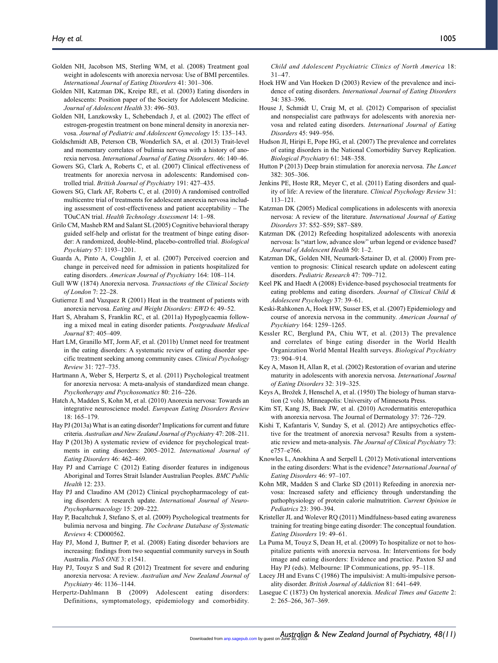- Golden NH, Jacobson MS, Sterling WM, et al. (2008) Treatment goal weight in adolescents with anorexia nervosa: Use of BMI percentiles. *International Journal of Eating Disorders* 41: 301–306.
- Golden NH, Katzman DK, Kreipe RE, et al. (2003) Eating disorders in adolescents: Position paper of the Society for Adolescent Medicine. *Journal of Adolescent Health* 33: 496–503.
- Golden NH, Lanzkowsky L, Schebendach J, et al. (2002) The effect of estrogen-progestin treatment on bone mineral density in anorexia nervosa. *Journal of Pediatric and Adolescent Gynecology* 15: 135–143.
- Goldschmidt AB, Peterson CB, Wonderlich SA, et al. (2013) Trait-level and momentary correlates of bulimia nervosa with a history of anorexia nervosa. *International Journal of Eating Disorders*. 46: 140–46.
- Gowers SG, Clark A, Roberts C, et al. (2007) Clinical effectiveness of treatments for anorexia nervosa in adolescents: Randomised controlled trial. *British Journal of Psychiatry* 191: 427–435.
- Gowers SG, Clark AF, Roberts C, et al. (2010) A randomised controlled multicentre trial of treatments for adolescent anorexia nervosa including assessment of cost-effectiveness and patient acceptability – The TOuCAN trial. *Health Technology Assessment* 14: 1–98.
- Grilo CM, Masheb RM and Salant SL (2005) Cognitive behavioral therapy guided self-help and orlistat for the treatment of binge eating disorder: A randomized, double-blind, placebo-controlled trial. *Biological Psychiatry* 57: 1193–1201.
- Guarda A, Pinto A, Coughlin J, et al. (2007) Perceived coercion and change in perceived need for admission in patients hospitalized for eating disorders. *American Journal of Psychiatry* 164: 108–114.
- Gull WW (1874) Anorexia nervosa. *Transactions of the Clinical Society of London* 7: 22–28.
- Gutierrez E and Vazquez R (2001) Heat in the treatment of patients with anorexia nervosa. *Eating and Weight Disorders: EWD* 6: 49–52.
- Hart S, Abraham S, Franklin RC, et al. (2011a) Hypoglycaemia following a mixed meal in eating disorder patients. *Postgraduate Medical Journal* 87: 405–409.
- Hart LM, Granillo MT, Jorm AF, et al. (2011b) Unmet need for treatment in the eating disorders: A systematic review of eating disorder specific treatment seeking among community cases. *Clinical Psychology Review* 31: 727–735.
- Hartmann A, Weber S, Herpertz S, et al. (2011) Psychological treatment for anorexia nervosa: A meta-analysis of standardized mean change. *Psychotherapy and Psychosomatics* 80: 216–226.
- Hatch A, Madden S, Kohn M, et al. (2010) Anorexia nervosa: Towards an integrative neuroscience model. *European Eating Disorders Review* 18: 165–179.
- Hay PJ (2013a) What is an eating disorder? Implications for current and future criteria. *Australian and New Zealand Journal of Psychiatry* 47: 208–211.
- Hay P (2013b) A systematic review of evidence for psychological treatments in eating disorders: 2005–2012. *International Journal of Eating Disorders* 46: 462–469.
- Hay PJ and Carriage C (2012) Eating disorder features in indigenous Aboriginal and Torres Strait Islander Australian Peoples. *BMC Public Health* 12: 233.
- Hay PJ and Claudino AM (2012) Clinical psychopharmacology of eating disorders: A research update. *International Journal of Neuro-Psychopharmacology* 15: 209–222.
- Hay P, Bacaltchuk J, Stefano S, et al. (2009) Psychological treatments for bulimia nervosa and binging. *The Cochrane Database of Systematic Reviews* 4: CD000562.
- Hay PJ, Mond J, Buttner P, et al. (2008) Eating disorder behaviors are increasing: findings from two sequential community surveys in South Australia. *PloS ONE* 3: e1541.
- Hay PJ, Touyz S and Sud R (2012) Treatment for severe and enduring anorexia nervosa: A review. *Australian and New Zealand Journal of Psychiatry* 46: 1136–1144.
- Herpertz-Dahlmann B (2009) Adolescent eating disorders: Definitions, symptomatology, epidemiology and comorbidity.

*Child and Adolescent Psychiatric Clinics of North America* 18: 31–47.

- Hoek HW and Van Hoeken D (2003) Review of the prevalence and incidence of eating disorders. *International Journal of Eating Disorders* 34: 383–396.
- House J, Schmidt U, Craig M, et al. (2012) Comparison of specialist and nonspecialist care pathways for adolescents with anorexia nervosa and related eating disorders. *International Journal of Eating Disorders* 45: 949–956.
- Hudson JI, Hiripi E, Pope HG, et al. (2007) The prevalence and correlates of eating disorders in the National Comorbidity Survey Replication. *Biological Psychiatry* 61: 348–358.
- Hutton P (2013) Deep brain stimulation for anorexia nervosa. *The Lancet* 382: 305–306.
- Jenkins PE, Hoste RR, Meyer C, et al. (2011) Eating disorders and quality of life: A review of the literature. *Clinical Psychology Review* 31: 113–121.
- Katzman DK (2005) Medical complications in adolescents with anorexia nervosa: A review of the literature. *International Journal of Eating Disorders* 37: S52–S59; S87–S89.
- Katzman DK (2012) Refeeding hospitalized adolescents with anorexia nervosa: Is "start low, advance slow" urban legend or evidence based? *Journal of Adolescent Health* 50: 1–2.
- Katzman DK, Golden NH, Neumark-Sztainer D, et al. (2000) From prevention to prognosis: Clinical research update on adolescent eating disorders. *Pediatric Research* 47: 709–712.
- Keel PK and Haedt A (2008) Evidence-based psychosocial treatments for eating problems and eating disorders. *Journal of Clinical Child & Adolescent Psychology* 37: 39–61.
- Keski-Rahkonen A, Hoek HW, Susser ES, et al. (2007) Epidemiology and course of anorexia nervosa in the community. *American Journal of Psychiatry* 164: 1259–1265.
- Kessler RC, Berglund PA, Chiu WT, et al. (2013) The prevalence and correlates of binge eating disorder in the World Health Organization World Mental Health surveys. *Biological Psychiatry* 73: 904–914.
- Key A, Mason H, Allan R, et al. (2002) Restoration of ovarian and uterine maturity in adolescents with anorexia nervosa. *International Journal of Eating Disorders* 32: 319–325.
- Keys A, Brožek J, Henschel A, et al. (1950) The biology of human starvation (2 vols). Minneapolis: University of Minnesota Press.
- Kim ST, Kang JS, Baek JW, et al. (2010) Acrodermatitis enteropathica with anorexia nervosa. The Journal of Dermatology 37: 726–729.
- Kishi T, Kafantaris V, Sunday S, et al. (2012) Are antipsychotics effective for the treatment of anorexia nervosa? Results from a systematic review and meta-analysis. *The Journal of Clinical Psychiatry* 73: e757–e766.
- Knowles L, Anokhina A and Serpell L (2012) Motivational interventions in the eating disorders: What is the evidence? *International Journal of Eating Disorders* 46: 97–107.
- Kohn MR, Madden S and Clarke SD (2011) Refeeding in anorexia nervosa: Increased safety and efficiency through understanding the pathophysiology of protein calorie malnutrition. *Current Opinion in Pediatrics* 23: 390–394.
- Kristeller JL and Wolever RQ (2011) Mindfulness-based eating awareness training for treating binge eating disorder: The conceptual foundation. *Eating Disorders* 19: 49–61.
- La Puma M, Touyz S, Dean H, et al. (2009) To hospitalize or not to hospitalize patients with anorexia nervosa. In: Interventions for body image and eating disorders: Evidence and practice. Paxton SJ and Hay PJ (eds). Melbourne: IP Communications, pp. 95–118.
- Lacey JH and Evans C (1986) The impulsivist: A multi-impulsive personality disorder. *British Journal of Addiction* 81: 641–649.
- Lasegue C (1873) On hysterical anorexia. *Medical Times and Gazette* 2: 2: 265–266, 367–369.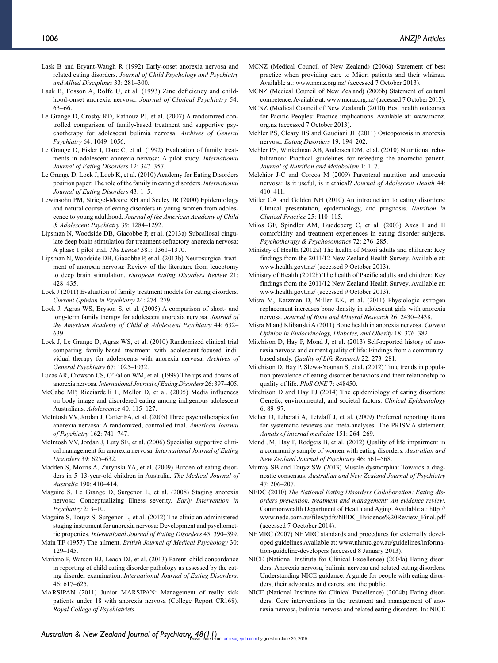- Lask B and Bryant-Waugh R (1992) Early-onset anorexia nervosa and related eating disorders. *Journal of Child Psychology and Psychiatry and Allied Disciplines* 33: 281–300.
- Lask B, Fosson A, Rolfe U, et al. (1993) Zinc deficiency and childhood-onset anorexia nervosa. *Journal of Clinical Psychiatry* 54: 63–66.
- Le Grange D, Crosby RD, Rathouz PJ, et al. (2007) A randomized controlled comparison of family-based treatment and supportive psychotherapy for adolescent bulimia nervosa. *Archives of General Psychiatry* 64: 1049–1056.
- Le Grange D, Eisler I, Dare C, et al. (1992) Evaluation of family treatments in adolescent anorexia nervosa: A pilot study. *International Journal of Eating Disorders* 12: 347–357.
- Le Grange D, Lock J, Loeb K, et al. (2010) Academy for Eating Disorders position paper: The role of the family in eating disorders. *International Journal of Eating Disorders* 43: 1–5.
- Lewinsohn PM, Striegel-Moore RH and Seeley JR (2000) Epidemiology and natural course of eating disorders in young women from adolescence to young adulthood. *Journal of the American Academy of Child & Adolescent Psychiatry* 39: 1284–1292.
- Lipsman N, Woodside DB, Giacobbe P, et al. (2013a) Subcallosal cingulate deep brain stimulation for treatment-refractory anorexia nervosa: A phase 1 pilot trial. *The Lancet* 381: 1361–1370.
- Lipsman N, Woodside DB, Giacobbe P, et al. (2013b) Neurosurgical treatment of anorexia nervosa: Review of the literature from leucotomy to deep brain stimulation. *European Eating Disorders Review* 21: 428–435.
- Lock J (2011) Evaluation of family treatment models for eating disorders. *Current Opinion in Psychiatry* 24: 274–279.
- Lock J, Agras WS, Bryson S, et al. (2005) A comparison of short- and long-term family therapy for adolescent anorexia nervosa. *Journal of the American Academy of Child & Adolescent Psychiatry* 44: 632– 639.
- Lock J, Le Grange D, Agras WS, et al. (2010) Randomized clinical trial comparing family-based treatment with adolescent-focused individual therapy for adolescents with anorexia nervosa. *Archives of General Psychiatry* 67: 1025–1032.
- Lucas AR, Crowson CS, O'Fallon WM, et al. (1999) The ups and downs of anorexia nervosa. *International Journal of Eating Disorders* 26: 397–405.
- McCabe MP, Ricciardelli L, Mellor D, et al. (2005) Media influences on body image and disordered eating among indigenous adolescent Australians. *Adolescence* 40: 115–127.
- McIntosh VV, Jordan J, Carter FA, et al. (2005) Three psychotherapies for anorexia nervosa: A randomized, controlled trial. *American Journal of Psychiatry* 162: 741–747.
- McIntosh VV, Jordan J, Luty SE, et al. (2006) Specialist supportive clinical management for anorexia nervosa. *International Journal of Eating Disorders* 39: 625–632.
- Madden S, Morris A, Zurynski YA, et al. (2009) Burden of eating disorders in 5–13-year-old children in Australia. *The Medical Journal of Australia* 190: 410–414.
- Maguire S, Le Grange D, Surgenor L, et al. (2008) Staging anorexia nervosa: Conceptualizing illness severity. *Early Intervention in Psychiatry* 2: 3–10.
- Maguire S, Touyz S, Surgenor L, et al. (2012) The clinician administered staging instrument for anorexia nervosa: Development and psychometric properties. *International Journal of Eating Disorders* 45: 390–399.
- Main TF (1957) The ailment. *British Journal of Medical Psychology* 30: 129–145.
- Mariano P, Watson HJ, Leach DJ, et al. (2013) Parent–child concordance in reporting of child eating disorder pathology as assessed by the eating disorder examination. *International Journal of Eating Disorders*. 46: 617–625.
- MARSIPAN (2011) Junior MARSIPAN: Management of really sick patients under 18 with anorexia nervosa (College Report CR168). *Royal College of Psychiatrists*.
- MCNZ (Medical Council of New Zealand) (2006a) Statement of best practice when providing care to Māori patients and their whānau. Available at: www.mcnz.org.nz/ (accessed 7 October 2013).
- MCNZ (Medical Council of New Zealand) (2006b) Statement of cultural competence. Available at: www.mcnz.org.nz/ (accessed 7 October 2013).
- MCNZ (Medical Council of New Zealand) (2010) Best health outcomes [for Pacific Peoples: Practice implications. Available at: www.mcnz.](www.mcnz.org.nz) org.nz (accessed 7 October 2013).
- Mehler PS, Cleary BS and Gaudiani JL (2011) Osteoporosis in anorexia nervosa. *Eating Disorders* 19: 194–202.
- Mehler PS, Winkelman AB, Andersen DM, et al. (2010) Nutritional rehabilitation: Practical guidelines for refeeding the anorectic patient. *Journal of Nutrition and Metabolism* 1: 1–7.
- Melchior J-C and Corcos M (2009) Parenteral nutrition and anorexia nervosa: Is it useful, is it ethical? *Journal of Adolescent Health* 44: 410–411.
- Miller CA and Golden NH (2010) An introduction to eating disorders: Clinical presentation, epidemiology, and prognosis. *Nutrition in Clinical Practice* 25: 110–115.
- Milos GF, Spindler AM, Buddeberg C, et al. (2003) Axes I and II comorbidity and treatment experiences in eating disorder subjects. *Psychotherapy & Psychosomatics* 72: 276–285.
- Ministry of Health (2012a) The health of Maori adults and children: Key findings from the 2011/12 New Zealand Health Survey. Available at: www.health.govt.nz/ (accessed 9 October 2013).
- Ministry of Health (2012b) The health of Pacific adults and children: Key findings from the 2011/12 New Zealand Health Survey. Available at: www.health.govt.nz/ (accessed 9 October 2013).
- Misra M, Katzman D, Miller KK, et al. (2011) Physiologic estrogen replacement increases bone density in adolescent girls with anorexia nervosa. *Journal of Bone and Mineral Research* 26: 2430–2438.
- Misra M and Klibanski A (2011) Bone health in anorexia nervosa. *Current Opinion in Endocrinology, Diabetes, and Obesity* 18: 376–382.
- Mitchison D, Hay P, Mond J, et al. (2013) Self-reported history of anorexia nervosa and current quality of life: Findings from a communitybased study. *Quality of Life Research* 22: 273–281.
- Mitchison D, Hay P, Slewa-Younan S, et al. (2012) Time trends in population prevalence of eating disorder behaviors and their relationship to quality of life. *PloS ONE* 7: e48450.
- Mitchison D and Hay PJ (2014) The epidemiology of eating disorders: Genetic, environmental, and societal factors. *Clinical Epidemiology* 6: 89–97.
- Moher D, Liberati A, Tetzlaff J, et al. (2009) Preferred reporting items for systematic reviews and meta-analyses: The PRISMA statement. *Annals of internal medicine* 151: 264–269.
- Mond JM, Hay P, Rodgers B, et al. (2012) Quality of life impairment in a community sample of women with eating disorders. *Australian and New Zealand Journal of Psychiatry* 46: 561–568.
- Murray SB and Touyz SW (2013) Muscle dysmorphia: Towards a diagnostic consensus. *Australian and New Zealand Journal of Psychiatry*  $47 \cdot 206 - 207$
- NEDC (2010) *The National Eating Disorders Collaboration: Eating disorders prevention, treatment and management: An evidence review*. Commonwealth Department of Health and Aging. Available at: http:// www.nedc.com.au/files/pdfs/NEDC\_Evidence%20Review\_Final.pdf (accessed 7 Occtober 2014).
- NHMRC (2007) NHMRC standards and procedures for externally developed guidelines Available at: www.nhmrc.gov.au/guidelines/information-guideline-developers (accessed 8 January 2013).
- NICE (National Institute for Clinical Excellence) (2004a) Eating disorders: Anorexia nervosa, bulimia nervosa and related eating disorders. Understanding NICE guidance: A guide for people with eating disorders, their advocates and carers, and the public.
- NICE (National Institute for Clinical Excellence) (2004b) Eating disorders: Core interventions in the treatment and management of anorexia nervosa, bulimia nervosa and related eating disorders. In: NICE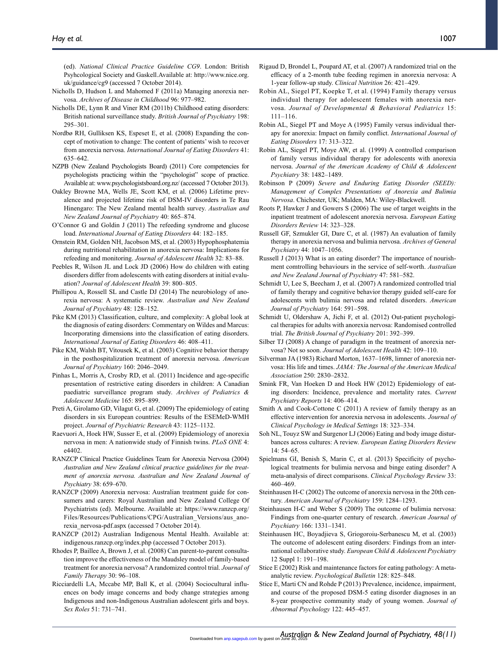(ed). *National Clinical Practice Guideline CG9*. London: British [Psyhcological Society and Gaskell.Available at: http://www.nice.org.](http://www.nice.org.uk/guidance/cg9) uk/guidance/cg9 (accessed 7 October 2014).

- Nicholls D, Hudson L and Mahomed F (2011a) Managing anorexia nervosa. *Archives of Disease in Childhood* 96: 977–982.
- Nicholls DE, Lynn R and Viner RM (2011b) Childhood eating disorders: British national surveillance study. *British Journal of Psychiatry* 198: 295–301.
- Nordbø RH, Gulliksen KS, Espeset E, et al. (2008) Expanding the concept of motivation to change: The content of patients' wish to recover from anorexia nervosa. *International Journal of Eating Disorders* 41: 635–642.
- NZPB (New Zealand Psychologists Board) (2011) Core competencies for psychologists practicing within the "psychologist" scope of practice. Available at: www.psychologistsboard.org.nz/ (accessed 7 October 2013).
- Oakley Browne MA, Wells JE, Scott KM, et al. (2006) Lifetime prevalence and projected lifetime risk of DSM-IV disorders in Te Rau Hinengaro: The New Zealand mental health survey. *Australian and New Zealand Journal of Psychiatry* 40: 865–874.
- O'Connor G and Goldin J (2011) The refeeding syndrome and glucose load. *International Journal of Eating Disorders* 44: 182–185.
- Ornstein RM, Golden NH, Jacobson MS, et al. (2003) Hypophosphatemia during nutritional rehabilitation in anorexia nervosa: Implications for refeeding and monitoring. *Journal of Adolescent Health* 32: 83–88.
- Peebles R, Wilson JL and Lock JD (2006) How do children with eating disorders differ from adolescents with eating disorders at initial evaluation? *Journal of Adolescent Health* 39: 800–805.
- Phillipou A, Rossell SL and Castle DJ (2014) The neurobiology of anorexia nervosa: A systematic review. *Australian and New Zealand Journal of Psychiatry* 48: 128–152.
- Pike KM (2013) Classification, culture, and complexity: A global look at the diagnosis of eating disorders: Commentary on Wildes and Marcus: Incorporating dimensions into the classification of eating disorders. *International Journal of Eating Disorders* 46: 408–411.
- Pike KM, Walsh BT, Vitousek K, et al. (2003) Cognitive behavior therapy in the posthospitalization treatment of anorexia nervosa. *American Journal of Psychiatry* 160: 2046–2049.
- Pinhas L, Morris A, Crosby RD, et al. (2011) Incidence and age-specific presentation of restrictive eating disorders in children: A Canadian paediatric surveillance program study. *Archives of Pediatrics & Adolescent Medicine* 165: 895–899.
- Preti A, Girolamo GD, Vilagut G, et al. (2009) The epidemiology of eating disorders in six European countries: Results of the ESEMeD-WMH project. *Journal of Psychiatric Research* 43: 1125–1132.
- Raevuori A, Hoek HW, Susser E, et al. (2009) Epidemiology of anorexia nervosa in men: A nationwide study of Finnish twins. *PLoS ONE* 4: e4402.
- RANZCP Clinical Practice Guidelines Team for Anorexia Nervosa (2004) *Australian and New Zealand clinical practice guidelines for the treatment of anorexia nervosa. Australian and New Zealand Journal of Psychiatry* 38: 659–670.
- RANZCP (2009) Anorexia nervosa: Australian treatment guide for consumers and carers: Royal Australian and New Zealand College Of Psychiatrists (ed). Melbourne. Available at: [https://www.ranzcp.org/](https://www.ranzcp.org/Files/Resources/Publications/CPG/Australian_Versions/aus_anorexia_nervosa-pdf.aspx) [Files/Resources/Publications/CPG/Australian\\_Versions/aus\\_ano](https://www.ranzcp.org/Files/Resources/Publications/CPG/Australian_Versions/aus_anorexia_nervosa-pdf.aspx)[rexia\\_nervosa-pdf.aspx](https://www.ranzcp.org/Files/Resources/Publications/CPG/Australian_Versions/aus_anorexia_nervosa-pdf.aspx) (accessed 7 October 2014).
- RANZCP (2012) Australian Indigenous Mental Health. Available at: indigenous.ranzcp.org/index.php (accessed 7 October 2013).
- Rhodes P, Baillee A, Brown J, et al. (2008) Can parent-to-parent consultation improve the effectiveness of the Maudsley model of family-based treatment for anorexia nervosa? A randomized control trial. *Journal of Family Therapy* 30: 96–108.
- Ricciardelli LA, Mccabe MP, Ball K, et al. (2004) Sociocultural influences on body image concerns and body change strategies among Indigenous and non-Indigenous Australian adolescent girls and boys. *Sex Roles* 51: 731–741.
- Rigaud D, Brondel L, Poupard AT, et al. (2007) A randomized trial on the efficacy of a 2-month tube feeding regimen in anorexia nervosa: A 1-year follow-up study. *Clinical Nutrition* 26: 421–429.
- Robin AL, Siegel PT, Koepke T, et al. (1994) Family therapy versus individual therapy for adolescent females with anorexia nervosa. *Journal of Developmental & Behavioral Pediatrics* 15: 111–116.
- Robin AL, Siegel PT and Moye A (1995) Family versus individual therapy for anorexia: Impact on family conflict. *International Journal of Eating Disorders* 17: 313–322.
- Robin AL, Siegel PT, Moye AW, et al. (1999) A controlled comparison of family versus individual therapy for adolescents with anorexia nervosa. *Journal of the American Academy of Child & Adolescent Psychiatry* 38: 1482–1489.
- Robinson P (2009) *Severe and Enduring Eating Disorder (SEED): Management of Complex Presentations of Anorexia and Bulimia Nervosa*. Chichester, UK; Malden, MA: Wiley-Blackwell.
- Roots P, Hawker J and Gowers S (2006) The use of target weights in the inpatient treatment of adolescent anorexia nervosa. *European Eating Disorders Review* 14: 323–328.
- Russell GF, Szmukler GI, Dare C, et al. (1987) An evaluation of family therapy in anorexia nervosa and bulimia nervosa. *Archives of General Psychiatry* 44: 1047–1056.
- Russell J (2013) What is an eating disorder? The importance of nourishment comtrolling behaviours in the service of self-worth. *Australian and New Zealand Journal of Psychiatry* 47: 581–582.
- Schmidt U, Lee S, Beecham J, et al. (2007) A randomized controlled trial of family therapy and cognitive behavior therapy guided self-care for adolescents with bulimia nervosa and related disorders. *American Journal of Psychiatry* 164: 591–598.
- Schmidt U, Oldershaw A, Jichi F, et al. (2012) Out-patient psychological therapies for adults with anorexia nervosa: Randomised controlled trial. *The British Journal of Psychiatry* 201: 392–399.
- Silber TJ (2008) A change of paradigm in the treatment of anorexia nervosa? Not so soon. *Journal of Adolescent Health* 42: 109–110.
- Silverman JA (1983) Richard Morton, 1637–1698, limner of anorexia nervosa: His life and times. *JAMA: The Journal of the American Medical Association* 250: 2830–2832.
- Smink FR, Van Hoeken D and Hoek HW (2012) Epidemiology of eating disorders: Incidence, prevalence and mortality rates. *Current Psychiatry Reports* 14: 406–414.
- Smith A and Cook-Cottone C (2011) A review of family therapy as an effective intervention for anorexia nervosa in adolescents. *Journal of Clinical Psychology in Medical Settings* 18: 323–334.
- Soh NL, Touyz SW and Surgenor LJ (2006) Eating and body image disturbances across cultures: A review. *European Eating Disorders Review* 14: 54–65.
- Spielmans GI, Benish S, Marin C, et al. (2013) Specificity of psychological treatments for bulimia nervosa and binge eating disorder? A meta-analysis of direct comparisons. *Clinical Psychology Review* 33: 460–469.
- Steinhausen H-C (2002) The outcome of anorexia nervosa in the 20th century. *American Journal of Psychiatry* 159: 1284–1293.
- Steinhausen H-C and Weber S (2009) The outcome of bulimia nervosa: Findings from one-quarter century of research. *American Journal of Psychiatry* 166: 1331–1341.
- Steinhausen HC, Boyadjieva S, Griogoroiu-Serbanescu M, et al. (2003) The outcome of adolescent eating disorders: Findings from an international collaborative study. *European Child & Adolescent Psychiatry* 12 Suppl 1: 191–198.
- Stice E (2002) Risk and maintenance factors for eating pathology: A metaanalytic review. *Psychological Bulletin* 128: 825–848.
- Stice E, Marti CN and Rohde P (2013) Prevalence, incidence, impairment, and course of the proposed DSM-5 eating disorder diagnoses in an 8-year prospective community study of young women. *Journal of Abnormal Psychology* 122: 445–457.